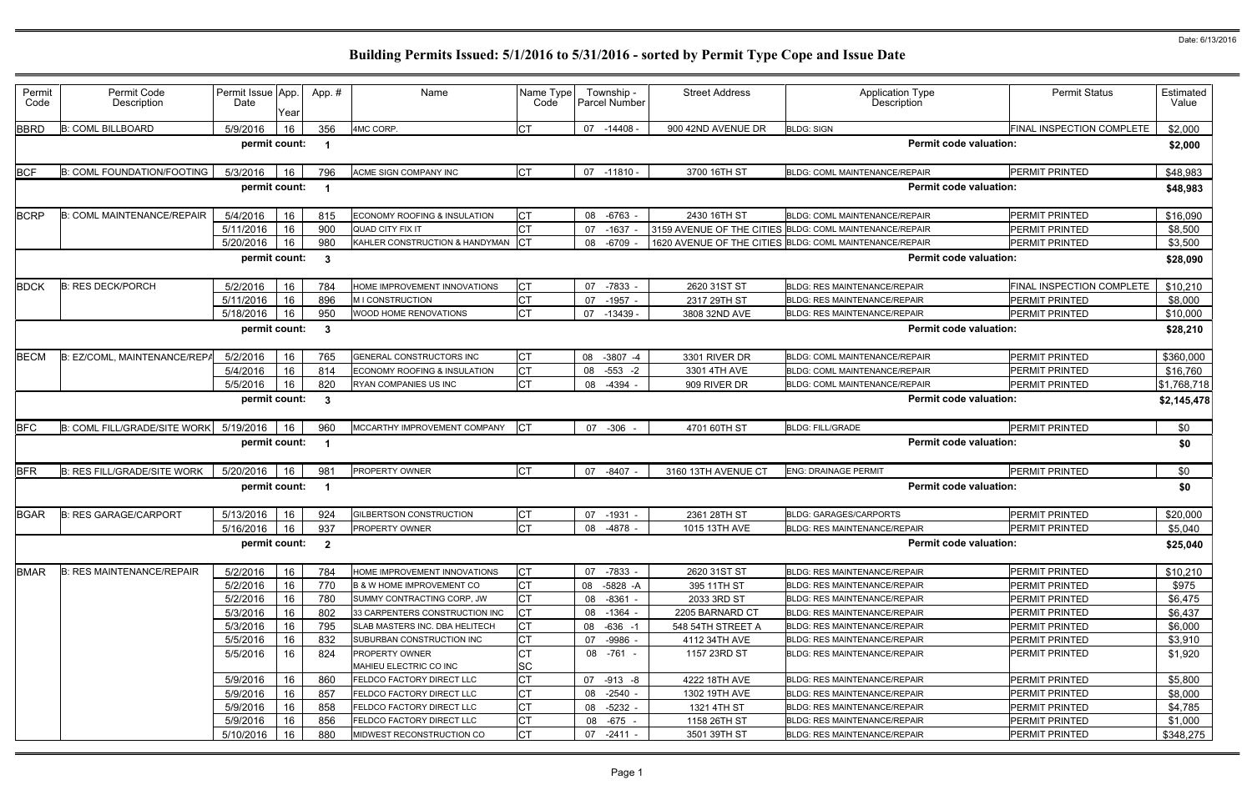| Permit<br>Code | Permit Code<br>Description         | Permit Issue App.<br>Date | Year | App.# | Name                                            | Name Type<br>Code | Township -<br><b>Parcel Number</b> | <b>Street Address</b> | <b>Application Type</b><br>Description                  | <b>Permit Status</b>      | Estimated<br>Value |
|----------------|------------------------------------|---------------------------|------|-------|-------------------------------------------------|-------------------|------------------------------------|-----------------------|---------------------------------------------------------|---------------------------|--------------------|
| <b>BBRD</b>    | <b>B: COML BILLBOARD</b>           | 5/9/2016                  | 16   | 356   | 4MC CORP.                                       | <b>CT</b>         | 07<br>$-14408 -$                   | 900 42ND AVENUE DR    | <b>BLDG: SIGN</b>                                       | FINAL INSPECTION COMPLETE | \$2,000            |
|                |                                    | permit count:             |      |       |                                                 |                   |                                    |                       | <b>Permit code valuation:</b>                           |                           | \$2,000            |
| <b>BCF</b>     | <b>B: COML FOUNDATION/FOOTING</b>  | 5/3/2016                  | 16   | 796   | ACME SIGN COMPANY INC                           | <b>CT</b>         | $-11810 -$<br>07                   | 3700 16TH ST          | <b>BLDG: COML MAINTENANCE/REPAIR</b>                    | PERMIT PRINTED            | \$48,983           |
|                |                                    | permit count:             |      |       |                                                 |                   |                                    |                       | <b>Permit code valuation:</b>                           |                           | \$48,983           |
| <b>BCRP</b>    | <b>B: COML MAINTENANCE/REPAIR</b>  | 5/4/2016                  | 16   | 815   | <b>ECONOMY ROOFING &amp; INSULATION</b>         | СT                | $-6763$<br>08                      | 2430 16TH ST          | BLDG: COML MAINTENANCE/REPAIR                           | <b>PERMIT PRINTED</b>     | \$16,090           |
|                |                                    | 5/11/2016                 | 16   | 900   | QUAD CITY FIX IT                                |                   | 07<br>$-1637$                      |                       | 3159 AVENUE OF THE CITIES BLDG: COML MAINTENANCE/REPAIR | PERMIT PRINTED            | \$8,500            |
|                |                                    | 5/20/2016                 | 16   | 980   | KAHLER CONSTRUCTION & HANDYMAN                  | Iст               | $-6709$<br>08                      |                       | 1620 AVENUE OF THE CITIES BLDG: COML MAINTENANCE/REPAIR | PERMIT PRINTED            | \$3,500            |
|                |                                    | permit count:             |      | -3    |                                                 |                   |                                    |                       | <b>Permit code valuation:</b>                           |                           | \$28,090           |
| <b>BDCK</b>    | <b>B: RES DECK/PORCH</b>           | 5/2/2016                  | 16   | 784   | HOME IMPROVEMENT INNOVATIONS                    | СT                | $-7833$<br>07                      | 2620 31ST ST          | <b>BLDG: RES MAINTENANCE/REPAIR</b>                     | FINAL INSPECTION COMPLETE | \$10,210           |
|                |                                    | 5/11/2016                 | 16   | 896   | M I CONSTRUCTION                                | СT                | 07<br>$-1957 -$                    | 2317 29TH ST          | <b>BLDG: RES MAINTENANCE/REPAIR</b>                     | PERMIT PRINTED            | \$8,000            |
|                |                                    | 5/18/2016                 | 16   | 950   | WOOD HOME RENOVATIONS                           | <b>CT</b>         | 07<br>$-13439$                     | 3808 32ND AVE         | <b>BLDG: RES MAINTENANCE/REPAIR</b>                     | PERMIT PRINTED            | \$10,000           |
|                |                                    | permit count:             |      | -3    |                                                 |                   |                                    |                       | <b>Permit code valuation:</b>                           |                           | \$28,210           |
| <b>BECM</b>    | B: EZ/COML, MAINTENANCE/REPA       | 5/2/2016                  | 16   | 765   | GENERAL CONSTRUCTORS INC                        | <b>CT</b>         | $-3807 -4$<br>08                   | 3301 RIVER DR         | <b>BLDG: COML MAINTENANCE/REPAIR</b>                    | PERMIT PRINTED            | \$360,000          |
|                |                                    | 5/4/2016                  | 16   | 814   | ECONOMY ROOFING & INSULATION                    | <b>CT</b>         | $-553 - 2$<br>08                   | 3301 4TH AVE          | BLDG: COML MAINTENANCE/REPAIR                           | PERMIT PRINTED            | \$16,760           |
|                |                                    | 5/5/2016                  | 16   | 820   | RYAN COMPANIES US INC                           | <b>CT</b>         | $-4394$<br>08                      | 909 RIVER DR          | BLDG: COML MAINTENANCE/REPAIR                           | PERMIT PRINTED            | \$1,768,718        |
|                |                                    | permit count:             |      | -3    |                                                 |                   |                                    |                       | <b>Permit code valuation:</b>                           |                           | \$2,145,478        |
| <b>BFC</b>     | B: COML FILL/GRADE/SITE WORK       | 5/19/2016                 | 16   | 960   | MCCARTHY IMPROVEMENT COMPANY                    | <b>ICT</b>        | $-306$<br>07                       | 4701 60TH ST          | <b>BLDG: FILL/GRADE</b>                                 | PERMIT PRINTED            | \$0                |
|                |                                    | permit count:             |      |       |                                                 |                   |                                    |                       | <b>Permit code valuation:</b>                           |                           | \$0                |
| <b>BFR</b>     | <b>B: RES FILL/GRADE/SITE WORK</b> | 5/20/2016                 | 16   | 981   | PROPERTY OWNER                                  | IСТ               | 07<br>-8407                        | 3160 13TH AVENUE CT   | <b>ENG: DRAINAGE PERMIT</b>                             | PERMIT PRINTED            | \$0                |
|                |                                    | permit count:             |      |       |                                                 |                   |                                    |                       | <b>Permit code valuation:</b>                           |                           | \$0                |
| <b>BGAR</b>    | <b>B: RES GARAGE/CARPORT</b>       | 5/13/2016                 | 16   | 924   | GILBERTSON CONSTRUCTION                         | СT                | 07<br>$-1931 -$                    | 2361 28TH ST          | <b>BLDG: GARAGES/CARPORTS</b>                           | PERMIT PRINTED            | \$20,000           |
|                |                                    | 5/16/2016                 | 16   | 937   | PROPERTY OWNER                                  | <b>CT</b>         | $-4878$<br>08                      | 1015 13TH AVE         | <b>BLDG: RES MAINTENANCE/REPAIR</b>                     | <b>PERMIT PRINTED</b>     | \$5,040            |
|                |                                    | permit count: 2           |      |       |                                                 |                   |                                    |                       | <b>Permit code valuation:</b>                           |                           | \$25,040           |
| <b>BMAR</b>    | <b>B: RES MAINTENANCE/REPAIR</b>   | 5/2/2016                  | 16   | 784   | HOME IMPROVEMENT INNOVATIONS                    | <b>CT</b>         | 07 -7833 -                         | 2620 31ST ST          | <b>BLDG: RES MAINTENANCE/REPAIR</b>                     | PERMIT PRINTED            | \$10,210           |
|                |                                    | 5/2/2016                  | 16   | 770   | <b>B &amp; W HOME IMPROVEMENT CO</b>            | <b>CT</b>         | -5828 -A<br>08                     | 395 11TH ST           | <b>BLDG: RES MAINTENANCE/REPAIR</b>                     | PERMIT PRINTED            | \$975              |
|                |                                    | 5/2/2016                  | 16   | 780   | SUMMY CONTRACTING CORP, JW                      | <b>CT</b>         | $-8361 -$<br>08                    | 2033 3RD ST           | BLDG: RES MAINTENANCE/REPAIR                            | PERMIT PRINTED            | \$6,475            |
|                |                                    | 5/3/2016                  | 16   | 802   | 33 CARPENTERS CONSTRUCTION INC                  |                   | 08 -1364 -                         | 2205 BARNARD CT       | <b>BLDG: RES MAINTENANCE/REPAIR</b>                     | PERMIT PRINTED            | \$6,437            |
|                |                                    | 5/3/2016                  | 16   | 795   | SLAB MASTERS INC. DBA HELITECH                  | СT                | $-636 - 1$<br>08                   | 548 54TH STREET A     | <b>BLDG: RES MAINTENANCE/REPAIR</b>                     | PERMIT PRINTED            | \$6,000            |
|                |                                    | 5/5/2016                  | 16   | 832   | SUBURBAN CONSTRUCTION INC                       | СT                | 07<br>-9986 -                      | 4112 34TH AVE         | <b>BLDG: RES MAINTENANCE/REPAIR</b>                     | PERMIT PRINTED            | \$3,910            |
|                |                                    | 5/5/2016                  | 16   | 824   | <b>PROPERTY OWNER</b><br>MAHIEU ELECTRIC CO INC | СT<br><b>SC</b>   | 08 -761 -                          | 1157 23RD ST          | <b>BLDG: RES MAINTENANCE/REPAIR</b>                     | <b>PERMIT PRINTED</b>     | \$1,920            |
|                |                                    | 5/9/2016                  | 16   | 860   | FELDCO FACTORY DIRECT LLC                       | <b>CT</b>         | 07<br>-913 -8                      | 4222 18TH AVE         | BLDG: RES MAINTENANCE/REPAIR                            | PERMIT PRINTED            | \$5,800            |
|                |                                    | 5/9/2016                  | 16   | 857   | FELDCO FACTORY DIRECT LLC                       | СT                | 08<br>$-2540$ -                    | 1302 19TH AVE         | <b>BLDG: RES MAINTENANCE/REPAIR</b>                     | PERMIT PRINTED            | \$8,000            |
|                |                                    | 5/9/2016                  | 16   | 858   | FELDCO FACTORY DIRECT LLC                       | СT                | 08 -5232 -                         | 1321 4TH ST           | BLDG: RES MAINTENANCE/REPAIR                            | PERMIT PRINTED            | \$4,785            |
|                |                                    | 5/9/2016                  | 16   | 856   | FELDCO FACTORY DIRECT LLC                       | <b>CT</b>         | 08 -675 -                          | 1158 26TH ST          | <b>BLDG: RES MAINTENANCE/REPAIR</b>                     | PERMIT PRINTED            | \$1,000            |
|                |                                    | 5/10/2016                 | 16   | 880   | MIDWEST RECONSTRUCTION CO                       | <b>CT</b>         | 07<br>-2411 -                      | 3501 39TH ST          | BLDG: RES MAINTENANCE/REPAIR                            | PERMIT PRINTED            | \$348,275          |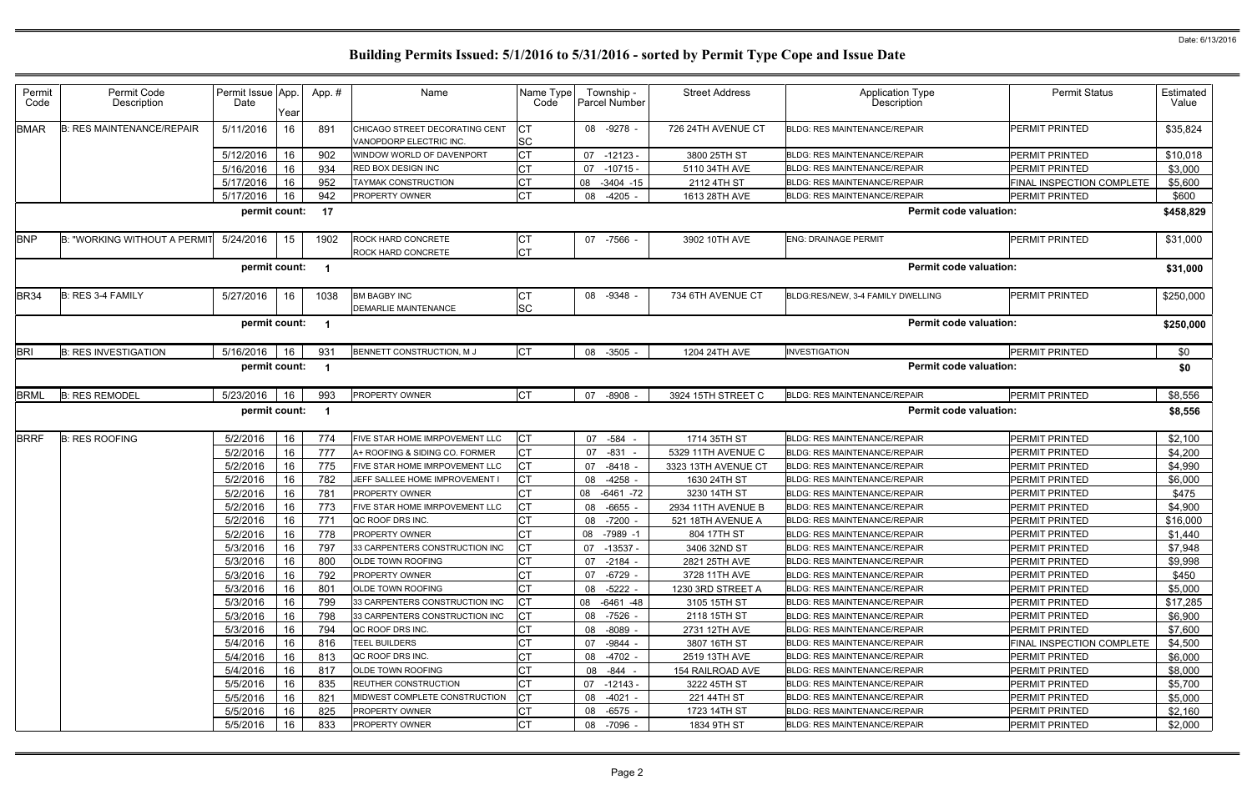| Permit<br>Code | Permit Code<br>Description          | Permit Issue App.<br>Date | Year | App.#      | Name                                                      | Name Type<br>Code      | Township -<br>Parcel Number   | <b>Street Address</b>       | <b>Application Type</b><br>Description | <b>Permit Status</b>             | Estimated<br>Value |
|----------------|-------------------------------------|---------------------------|------|------------|-----------------------------------------------------------|------------------------|-------------------------------|-----------------------------|----------------------------------------|----------------------------------|--------------------|
| <b>BMAR</b>    | <b>B: RES MAINTENANCE/REPAIR</b>    | 5/11/2016                 | 16   | 891        | CHICAGO STREET DECORATING CENT<br>VANOPDORP ELECTRIC INC. | IСТ<br><b>SC</b>       | 08 -9278 -                    | 726 24TH AVENUE CT          | <b>BLDG: RES MAINTENANCE/REPAIR</b>    | <b>PERMIT PRINTED</b>            | \$35,824           |
|                |                                     | 5/12/2016                 | 16   | 902        | WINDOW WORLD OF DAVENPORT                                 | Iст                    | 07<br>$-12123 -$              | 3800 25TH ST                | BLDG: RES MAINTENANCE/REPAIR           | <b>PERMIT PRINTED</b>            | \$10,018           |
|                |                                     | 5/16/2016                 | 16   | 934        | RED BOX DESIGN INC                                        | IСТ                    | $-10715 -$<br>07              | 5110 34TH AVE               | <b>BLDG: RES MAINTENANCE/REPAIR</b>    | <b>PERMIT PRINTED</b>            | \$3,000            |
|                |                                     | 5/17/2016                 | 16   | 952        | <b>TAYMAK CONSTRUCTION</b>                                | IСТ                    | 08<br>$-3404 - 15$            | 2112 4TH ST                 | <b>BLDG: RES MAINTENANCE/REPAIR</b>    | FINAL INSPECTION COMPLETE        | \$5,600            |
|                |                                     | 5/17/2016                 | 16   | 942        | PROPERTY OWNER                                            | <b>CT</b>              | $-4205 -$<br>08               | 1613 28TH AVE               | <b>BLDG: RES MAINTENANCE/REPAIR</b>    | PERMIT PRINTED                   | \$600              |
|                |                                     | permit count:             |      | 17         |                                                           |                        |                               |                             | <b>Permit code valuation:</b>          |                                  | \$458,829          |
| <b>BNP</b>     | <b>B: "WORKING WITHOUT A PERMI"</b> | 5/24/2016                 | 15   | 1902       | <b>ROCK HARD CONCRETE</b>                                 | CT                     | 07 -7566 -                    | 3902 10TH AVE               | <b>ENG: DRAINAGE PERMIT</b>            | PERMIT PRINTED                   | \$31,000           |
|                |                                     |                           |      |            | ROCK HARD CONCRETE                                        | <b>CT</b>              |                               |                             |                                        |                                  |                    |
|                |                                     | permit count:             |      | - 1        |                                                           |                        |                               |                             | <b>Permit code valuation:</b>          |                                  | \$31,000           |
| <b>BR34</b>    | B: RES 3-4 FAMILY                   | 5/27/2016                 | 16   | 1038       | <b>BM BAGBY INC</b>                                       | <b>CT</b>              | 08 -9348 -                    | 734 6TH AVENUE CT           | BLDG:RES/NEW, 3-4 FAMILY DWELLING      | <b>PERMIT PRINTED</b>            | \$250,000          |
|                |                                     |                           |      |            | <b>DEMARLIE MAINTENANCE</b>                               | <b>SC</b>              |                               |                             |                                        |                                  |                    |
|                |                                     | permit count:             |      | -1         |                                                           |                        |                               |                             | <b>Permit code valuation:</b>          |                                  | \$250,000          |
| <b>BRI</b>     | <b>B: RES INVESTIGATION</b>         | 5/16/2016                 | 16   | 931        | BENNETT CONSTRUCTION, M J                                 | <b>CT</b>              | 08 -3505 -                    | 1204 24TH AVE               | <b>INVESTIGATION</b>                   | PERMIT PRINTED                   | \$0                |
|                |                                     | permit count:             |      | -1         |                                                           |                        |                               |                             | <b>Permit code valuation:</b>          |                                  | \$0                |
| <b>BRML</b>    | <b>B: RES REMODEL</b>               | 5/23/2016                 | 16   | 993        | PROPERTY OWNER                                            | <b>CT</b>              | $-8908$<br>07                 | 3924 15TH STREET C          | <b>BLDG: RES MAINTENANCE/REPAIR</b>    | <b>PERMIT PRINTED</b>            | \$8,556            |
|                |                                     | permit count:             |      |            |                                                           |                        |                               |                             | <b>Permit code valuation:</b>          |                                  | \$8,556            |
| <b>BRRF</b>    | <b>B: RES ROOFING</b>               | 5/2/2016                  | 16   | 774        | FIVE STAR HOME IMRPOVEMENT LLC                            | <b>ICT</b>             | 07 -584                       | 1714 35TH ST                | <b>BLDG: RES MAINTENANCE/REPAIR</b>    | <b>PERMIT PRINTED</b>            | \$2,100            |
|                |                                     | 5/2/2016                  | 16   | 777        | A+ ROOFING & SIDING CO. FORMER                            | Iст                    | $-831 -$<br>07                | 5329 11TH AVENUE C          | <b>BLDG: RES MAINTENANCE/REPAIR</b>    | PERMIT PRINTED                   | \$4,200            |
|                |                                     | 5/2/2016                  | 16   | 775        | FIVE STAR HOME IMRPOVEMENT LLC                            | Iст                    | $-8418 -$<br>07               | 3323 13TH AVENUE CT         | <b>BLDG: RES MAINTENANCE/REPAIR</b>    | PERMIT PRINTED                   | \$4,990            |
|                |                                     | 5/2/2016                  | 16   | 782        | JEFF SALLEE HOME IMPROVEMENT I                            | IСТ                    | $-4258 -$<br>08               | 1630 24TH ST                | <b>BLDG: RES MAINTENANCE/REPAIR</b>    | PERMIT PRINTED                   | \$6,000            |
|                |                                     | 5/2/2016                  | 16   | 781        | <b>PROPERTY OWNER</b>                                     | IСТ                    | 08<br>$-6461 - 72$            | 3230 14TH ST                | <b>BLDG: RES MAINTENANCE/REPAIR</b>    | PERMIT PRINTED                   | \$475              |
|                |                                     | 5/2/2016                  | 16   | 773        | FIVE STAR HOME IMRPOVEMENT LLC                            | Iст                    | 08<br>$-6655$ .               | 2934 11TH AVENUE B          | <b>BLDG: RES MAINTENANCE/REPAIR</b>    | PERMIT PRINTED                   | \$4,900            |
|                |                                     | 5/2/2016                  | 16   | 771        | QC ROOF DRS INC.                                          | <b>CT</b>              | $-7200$ -<br>08               | 521 18TH AVENUE A           | <b>BLDG: RES MAINTENANCE/REPAIR</b>    | PERMIT PRINTED                   | \$16,000           |
|                |                                     | 5/2/2016                  | 16   | 778        | PROPERTY OWNER                                            | IСТ                    | 08 -7989 -1                   | 804 17TH ST                 | BLDG: RES MAINTENANCE/REPAIR           | PERMIT PRINTED                   | \$1,440            |
|                |                                     | 5/3/2016                  | 16   | 797        | 33 CARPENTERS CONSTRUCTION INC                            |                        | 07 -13537 -                   | 3406 32ND ST                | <b>BLDG: RES MAINTENANCE/REPAIR</b>    | PERMIT PRINTED                   | \$7,948            |
|                |                                     | 5/3/2016                  | 16   | 800        | <b>OLDE TOWN ROOFING</b>                                  | СT                     | -2184 -<br>07                 | 2821 25TH AVE               | BLDG: RES MAINTENANCE/REPAIR           | PERMIT PRINTED                   | \$9,998            |
|                |                                     | 5/3/2016                  | 16   | 792        | <b>PROPERTY OWNER</b>                                     | <b>CT</b>              | 07 -6729 -                    | 3728 11TH AVE               | <b>BLDG: RES MAINTENANCE/REPAIR</b>    | PERMIT PRINTED                   | \$450              |
|                |                                     | 5/3/2016                  | 16   | 801        | OLDE TOWN ROOFING                                         | <b>CT</b>              | $-5222 -$<br>08               | 1230 3RD STREET A           | <b>BLDG: RES MAINTENANCE/REPAIR</b>    | PERMIT PRINTED                   | \$5,000            |
|                |                                     | 5/3/2016                  | 16   | 799        | 33 CARPENTERS CONSTRUCTION INC                            |                        | 08 -6461 -48                  | 3105 15TH ST                | <b>BLDG: RES MAINTENANCE/REPAIR</b>    | PERMIT PRINTED                   | \$17,285           |
|                |                                     | 5/3/2016                  | 16   | 798        | 33 CARPENTERS CONSTRUCTION INC                            | IСТ                    | -7526 -<br>08                 | 2118 15TH ST                | BLDG: RES MAINTENANCE/REPAIR           | PERMIT PRINTED                   | \$6,900            |
|                |                                     |                           | 16   | 794        | QC ROOF DRS INC.                                          | <b>CT</b>              | 08<br>-8089 -                 | 2731 12TH AVE               | <b>BLDG: RES MAINTENANCE/REPAIR</b>    | PERMIT PRINTED                   | \$7,600            |
|                |                                     | 5/3/2016                  |      |            |                                                           |                        |                               |                             |                                        |                                  |                    |
|                |                                     | 5/4/2016                  | 16   | 816        | <b>TEEL BUILDERS</b>                                      | C <sub>T</sub>         | -9844 -<br>07                 | 3807 16TH ST                | <b>BLDG: RES MAINTENANCE/REPAIR</b>    | FINAL INSPECTION COMPLETE        | \$4,500            |
|                |                                     | 5/4/2016                  | 16   | 813        | QC ROOF DRS INC.                                          |                        | $-4702 -$<br>08               | 2519 13TH AVE               | <b>BLDG: RES MAINTENANCE/REPAIR</b>    | PERMIT PRINTED                   | \$6,000            |
|                |                                     | 5/4/2016                  | 16   | 817        | OLDE TOWN ROOFING                                         | IСТ                    | 08 - 844 -                    | 154 RAILROAD AVE            | <b>BLDG: RES MAINTENANCE/REPAIR</b>    | PERMIT PRINTED                   | \$8,000            |
|                |                                     | 5/5/2016                  | 16   | 835        | REUTHER CONSTRUCTION                                      | <b>CT</b>              | $-12143-$<br>07               | 3222 45TH ST                | <b>BLDG: RES MAINTENANCE/REPAIR</b>    | PERMIT PRINTED                   | \$5,700            |
|                |                                     | 5/5/2016                  | 16   | 821        | MIDWEST COMPLETE CONSTRUCTION                             | Iст                    | -4021 -<br>08                 | 221 44TH ST                 | <b>BLDG: RES MAINTENANCE/REPAIR</b>    | PERMIT PRINTED                   | \$5,000            |
|                |                                     | 5/5/2016<br>5/5/2016      | 16   | 825<br>833 | <b>PROPERTY OWNER</b><br><b>PROPERTY OWNER</b>            | <b>CT</b><br><b>CT</b> | $-6575$ -<br>08<br>08 -7096 - | 1723 14TH ST<br>1834 9TH ST | <b>BLDG: RES MAINTENANCE/REPAIR</b>    | PERMIT PRINTED<br>PERMIT PRINTED | \$2,160<br>\$2,000 |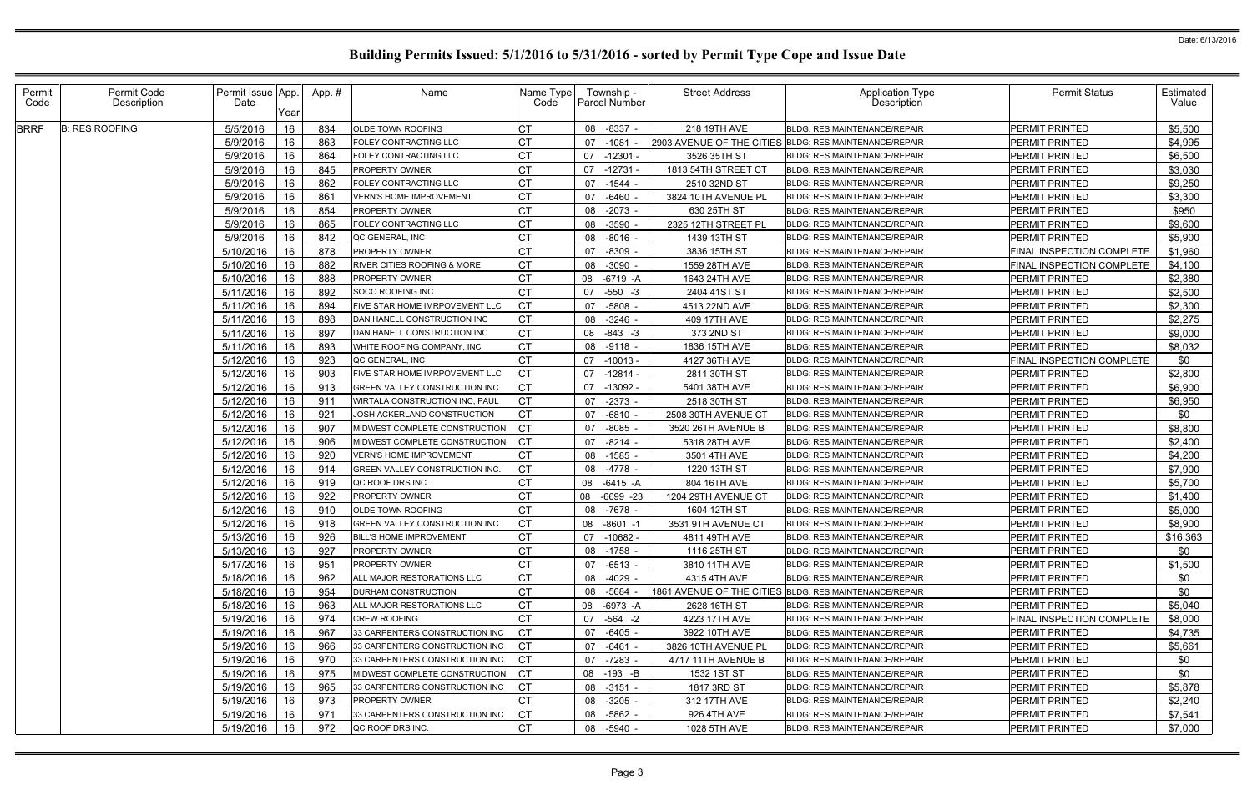| Permit<br>Code | Permit Code<br>Description | Permit Issue App.<br>Date | Year | App.# | Name                                   | Name Type<br>Code |    | Township -<br><b>Parcel Number</b> | <b>Street Address</b> | <b>Application Type</b><br>Description                 | <b>Permit Status</b>             | Estimated<br>Value |
|----------------|----------------------------|---------------------------|------|-------|----------------------------------------|-------------------|----|------------------------------------|-----------------------|--------------------------------------------------------|----------------------------------|--------------------|
| <b>BRRF</b>    | <b>B: RES ROOFING</b>      | 5/5/2016                  | 16   | 834   | <b>OLDE TOWN ROOFING</b>               |                   |    | 08 -8337 -                         | 218 19TH AVE          | BLDG: RES MAINTENANCE/REPAIR                           | <b>PERMIT PRINTED</b>            | \$5,500            |
|                |                            | 5/9/2016                  | 16   | 863   | FOLEY CONTRACTING LLC                  |                   | 07 | $-1081$                            |                       | 2903 AVENUE OF THE CITIES BLDG: RES MAINTENANCE/REPAIR | <b>PERMIT PRINTED</b>            | \$4,995            |
|                |                            | 5/9/2016                  | 16   | 864   | FOLEY CONTRACTING LLC                  | СT                |    | 07 -12301                          | 3526 35TH ST          | <b>BLDG: RES MAINTENANCE/REPAIR</b>                    | <b>PERMIT PRINTED</b>            | \$6,500            |
|                |                            | 5/9/2016                  | 16   | 845   | PROPERTY OWNER                         | IСТ               | 07 | $-12731$                           | 1813 54TH STREET CT   | BLDG: RES MAINTENANCE/REPAIR                           | PERMIT PRINTED                   | \$3,030            |
|                |                            | 5/9/2016                  | 16   | 862   | FOLEY CONTRACTING LLC                  | IСТ               | 07 | -1544 -                            | 2510 32ND ST          | <b>BLDG: RES MAINTENANCE/REPAIR</b>                    | PERMIT PRINTED                   | \$9,250            |
|                |                            | 5/9/2016                  | 16   | 861   | <b>VERN'S HOME IMPROVEMENT</b>         | <b>CT</b>         | 07 | $-6460$                            | 3824 10TH AVENUE PL   | <b>BLDG: RES MAINTENANCE/REPAIR</b>                    | PERMIT PRINTED                   | \$3,300            |
|                |                            | 5/9/2016                  | 16   | 854   | PROPERTY OWNER                         |                   | 08 | -2073 -                            | 630 25TH ST           | <b>BLDG: RES MAINTENANCE/REPAIR</b>                    | PERMIT PRINTED                   | \$950              |
|                |                            | 5/9/2016                  | 16   | 865   | FOLEY CONTRACTING LLC                  |                   |    | 08 -3590                           | 2325 12TH STREET PL   | <b>BLDG: RES MAINTENANCE/REPAIR</b>                    | PERMIT PRINTED                   | \$9,600            |
|                |                            | 5/9/2016                  | 16   | 842   | QC GENERAL, INC                        | СT                |    | 08 -8016 -                         | 1439 13TH ST          | BLDG: RES MAINTENANCE/REPAIR                           | <b>PERMIT PRINTED</b>            | \$5,900            |
|                |                            | 5/10/2016                 | 16   | 878   | PROPERTY OWNER                         |                   | 07 | $-8309$                            | 3836 15TH ST          | <b>BLDG: RES MAINTENANCE/REPAIR</b>                    | <b>FINAL INSPECTION COMPLETE</b> | \$1,960            |
|                |                            | 5/10/2016                 | 16   | 882   | <b>RIVER CITIES ROOFING &amp; MORE</b> | <b>CT</b>         | 08 | $-3090$                            | 1559 28TH AVE         | <b>BLDG: RES MAINTENANCE/REPAIR</b>                    | FINAL INSPECTION COMPLETE        | \$4,100            |
|                |                            | 5/10/2016                 | 16   | 888   | PROPERTY OWNER                         |                   | 08 | -6719 -A                           | 1643 24TH AVE         | BLDG: RES MAINTENANCE/REPAIR                           | <b>PERMIT PRINTED</b>            | \$2,380            |
|                |                            | 5/11/2016                 | 16   | 892   | SOCO ROOFING INC                       |                   | 07 | $-550 - 3$                         | 2404 41ST ST          | <b>BLDG: RES MAINTENANCE/REPAIR</b>                    | <b>PERMIT PRINTED</b>            | \$2,500            |
|                |                            | 5/11/2016                 | 16   | 894   | FIVE STAR HOME IMRPOVEMENT LLC         | <b>CT</b>         | 07 | -5808                              | 4513 22ND AVE         | <b>BLDG: RES MAINTENANCE/REPAIR</b>                    | PERMIT PRINTED                   | \$2,300            |
|                |                            | 5/11/2016                 | 16   | 898   | DAN HANELL CONSTRUCTION INC            | <b>CT</b>         | 08 | $-3246$ -                          | 409 17TH AVE          | <b>BLDG: RES MAINTENANCE/REPAIR</b>                    | PERMIT PRINTED                   | \$2,275            |
|                |                            | 5/11/2016                 | 16   | 897   | DAN HANELL CONSTRUCTION INC            | <b>CT</b>         | 08 | $-843 - 3$                         | 373 2ND ST            | <b>BLDG: RES MAINTENANCE/REPAIR</b>                    | <b>PERMIT PRINTED</b>            | \$9,000            |
|                |                            | 5/11/2016                 | 16   | 893   | WHITE ROOFING COMPANY, INC             | <b>CT</b>         |    | 08 -9118 -                         | 1836 15TH AVE         | <b>BLDG: RES MAINTENANCE/REPAIR</b>                    | <b>PERMIT PRINTED</b>            | \$8,032            |
|                |                            | 5/12/2016                 | 16   | 923   | QC GENERAL, INC                        | СT                | 07 | $-10013 -$                         | 4127 36TH AVE         | BLDG: RES MAINTENANCE/REPAIR                           | <b>FINAL INSPECTION COMPLETE</b> | \$0                |
|                |                            | 5/12/2016                 | 16   | 903   | FIVE STAR HOME IMRPOVEMENT LLC         | IСТ               | 07 | $-12814$                           | 2811 30TH ST          | <b>BLDG: RES MAINTENANCE/REPAIR</b>                    | PERMIT PRINTED                   | \$2,800            |
|                |                            | 5/12/2016                 | 16   | 913   | GREEN VALLEY CONSTRUCTION INC.         | <b>CT</b>         | 07 | $-13092$                           | 5401 38TH AVE         | <b>BLDG: RES MAINTENANCE/REPAIR</b>                    | PERMIT PRINTED                   | \$6,900            |
|                |                            | 5/12/2016                 | 16   | 911   | WIRTALA CONSTRUCTION INC, PAUL         |                   | 07 | $-2373$ -                          | 2518 30TH ST          | <b>BLDG: RES MAINTENANCE/REPAIR</b>                    | <b>PERMIT PRINTED</b>            | \$6,950            |
|                |                            | 5/12/2016                 | 16   | 921   | JOSH ACKERLAND CONSTRUCTION            | <b>CT</b>         | 07 | $-6810 -$                          | 2508 30TH AVENUE CT   | <b>BLDG: RES MAINTENANCE/REPAIR</b>                    | <b>PERMIT PRINTED</b>            | \$0                |
|                |                            | 5/12/2016                 | 16   | 907   | MIDWEST COMPLETE CONSTRUCTION          | <b>CT</b>         | 07 | -8085                              | 3520 26TH AVENUE B    | <b>BLDG: RES MAINTENANCE/REPAIR</b>                    | PERMIT PRINTED                   | \$8,800            |
|                |                            | 5/12/2016                 | 16   | 906   | MIDWEST COMPLETE CONSTRUCTION          |                   | 07 | $-8214 -$                          | 5318 28TH AVE         | <b>BLDG: RES MAINTENANCE/REPAIR</b>                    | PERMIT PRINTED                   | \$2,400            |
|                |                            | 5/12/2016                 | 16   | 920   | <b>VERN'S HOME IMPROVEMENT</b>         | <b>CT</b>         | 08 | -1585 -                            | 3501 4TH AVE          | <b>BLDG: RES MAINTENANCE/REPAIR</b>                    | PERMIT PRINTED                   | \$4,200            |
|                |                            | 5/12/2016                 | 16   | 914   | <b>GREEN VALLEY CONSTRUCTION INC.</b>  |                   |    | 08 -4778 -                         | 1220 13TH ST          | <b>BLDG: RES MAINTENANCE/REPAIR</b>                    | PERMIT PRINTED                   | \$7,900            |
|                |                            | 5/12/2016                 | 16   | 919   | QC ROOF DRS INC.                       |                   | 08 | $-6415 - A$                        | 804 16TH AVE          | <b>BLDG: RES MAINTENANCE/REPAIR</b>                    | <b>PERMIT PRINTED</b>            | \$5,700            |
|                |                            | 5/12/2016                 | 16   | 922   | PROPERTY OWNER                         | C <sub>1</sub>    | 08 | $-6699 -23$                        | 1204 29TH AVENUE CT   | <b>BLDG: RES MAINTENANCE/REPAIR</b>                    | PERMIT PRINTED                   | \$1,400            |
|                |                            | 5/12/2016                 | 16   | 910   | OLDE TOWN ROOFING                      |                   | 08 | $-7678$ -                          | 1604 12TH ST          | <b>BLDG: RES MAINTENANCE/REPAIR</b>                    | PERMIT PRINTED                   | \$5,000            |
|                |                            | 5/12/2016                 | 16   | 918   | GREEN VALLEY CONSTRUCTION INC.         |                   | 08 | $-8601 -1$                         | 3531 9TH AVENUE CT    | BLDG: RES MAINTENANCE/REPAIR                           | PERMIT PRINTED                   | \$8,900            |
|                |                            | 5/13/2016 16              |      | 926   | <b>BILL'S HOME IMPROVEMENT</b>         | I∩т.<br>◡         |    | 07 -10682                          | 4811 49TH AVE         | BLDG: RES MAINTENANCE/REPAIR                           | PERMIT PRINTED                   | \$16,363           |
|                |                            | 5/13/2016                 | 16   | 927   | <b>PROPERTY OWNER</b>                  | <b>CT</b>         |    | 08 -1758 -                         | 1116 25TH ST          | <b>BLDG: RES MAINTENANCE/REPAIR</b>                    | PERMIT PRINTED                   | \$0                |
|                |                            | 5/17/2016                 | 16   | 951   | <b>PROPERTY OWNER</b>                  | <b>CT</b>         |    | 07 -6513 -                         | 3810 11TH AVE         | <b>BLDG: RES MAINTENANCE/REPAIR</b>                    | PERMIT PRINTED                   | \$1,500            |
|                |                            | 5/18/2016                 | 16   | 962   | ALL MAJOR RESTORATIONS LLC             | <b>CT</b>         |    | 08 -4029 -                         | 4315 4TH AVE          | <b>BLDG: RES MAINTENANCE/REPAIR</b>                    | <b>PERMIT PRINTED</b>            | \$0                |
|                |                            | 5/18/2016                 | 16   | 954   | <b>DURHAM CONSTRUCTION</b>             | <b>CT</b>         |    | 08 -5684 -                         |                       | 1861 AVENUE OF THE CITIES BLDG: RES MAINTENANCE/REPAIR | <b>PERMIT PRINTED</b>            | \$0                |
|                |                            | 5/18/2016                 | 16   | 963   | ALL MAJOR RESTORATIONS LLC             | <b>CT</b>         |    | 08 -6973 -A                        | 2628 16TH ST          | <b>BLDG: RES MAINTENANCE/REPAIR</b>                    | <b>PERMIT PRINTED</b>            | \$5,040            |
|                |                            | 5/19/2016                 | 16   | 974   | <b>CREW ROOFING</b>                    | <b>CT</b>         |    | 07 -564 -2                         | 4223 17TH AVE         | <b>BLDG: RES MAINTENANCE/REPAIR</b>                    | <b>FINAL INSPECTION COMPLETE</b> | \$8,000            |
|                |                            | 5/19/2016                 | 16   | 967   | 33 CARPENTERS CONSTRUCTION INC         |                   | 07 | $-6405 -$                          | 3922 10TH AVE         | <b>BLDG: RES MAINTENANCE/REPAIR</b>                    | <b>PERMIT PRINTED</b>            | \$4,735            |
|                |                            | 5/19/2016                 | 16   | 966   | 33 CARPENTERS CONSTRUCTION INC         |                   | 07 | -6461 -                            | 3826 10TH AVENUE PL   | <b>BLDG: RES MAINTENANCE/REPAIR</b>                    | PERMIT PRINTED                   | \$5,661            |
|                |                            | 5/19/2016                 | 16   | 970   | 33 CARPENTERS CONSTRUCTION INC         |                   | 07 | -7283 -                            | 4717 11TH AVENUE B    | <b>BLDG: RES MAINTENANCE/REPAIR</b>                    | PERMIT PRINTED                   | \$0                |
|                |                            | 5/19/2016                 | 16   | 975   | MIDWEST COMPLETE CONSTRUCTION          | Iст               |    | 08 -193 -B                         | 1532 1ST ST           | BLDG: RES MAINTENANCE/REPAIR                           | PERMIT PRINTED                   | \$0                |
|                |                            | 5/19/2016                 | 16   | 965   | 33 CARPENTERS CONSTRUCTION INC         |                   |    | 08 -3151 -                         | 1817 3RD ST           | <b>BLDG: RES MAINTENANCE/REPAIR</b>                    | PERMIT PRINTED                   | \$5,878            |
|                |                            | 5/19/2016                 | 16   | 973   | <b>PROPERTY OWNER</b>                  | <b>CT</b>         |    | 08 -3205 -                         | 312 17TH AVE          | <b>BLDG: RES MAINTENANCE/REPAIR</b>                    | <b>PERMIT PRINTED</b>            | \$2,240            |
|                |                            | 5/19/2016                 | 16   | 971   | 33 CARPENTERS CONSTRUCTION INC         | СT                |    | 08 -5862 -                         | 926 4TH AVE           | <b>BLDG: RES MAINTENANCE/REPAIR</b>                    | <b>PERMIT PRINTED</b>            | \$7,541            |
|                |                            | 5/19/2016                 | 16   | 972   | QC ROOF DRS INC.                       | <b>CT</b>         |    | 08 -5940 -                         | 1028 5TH AVE          | <b>BLDG: RES MAINTENANCE/REPAIR</b>                    | PERMIT PRINTED                   | \$7,000            |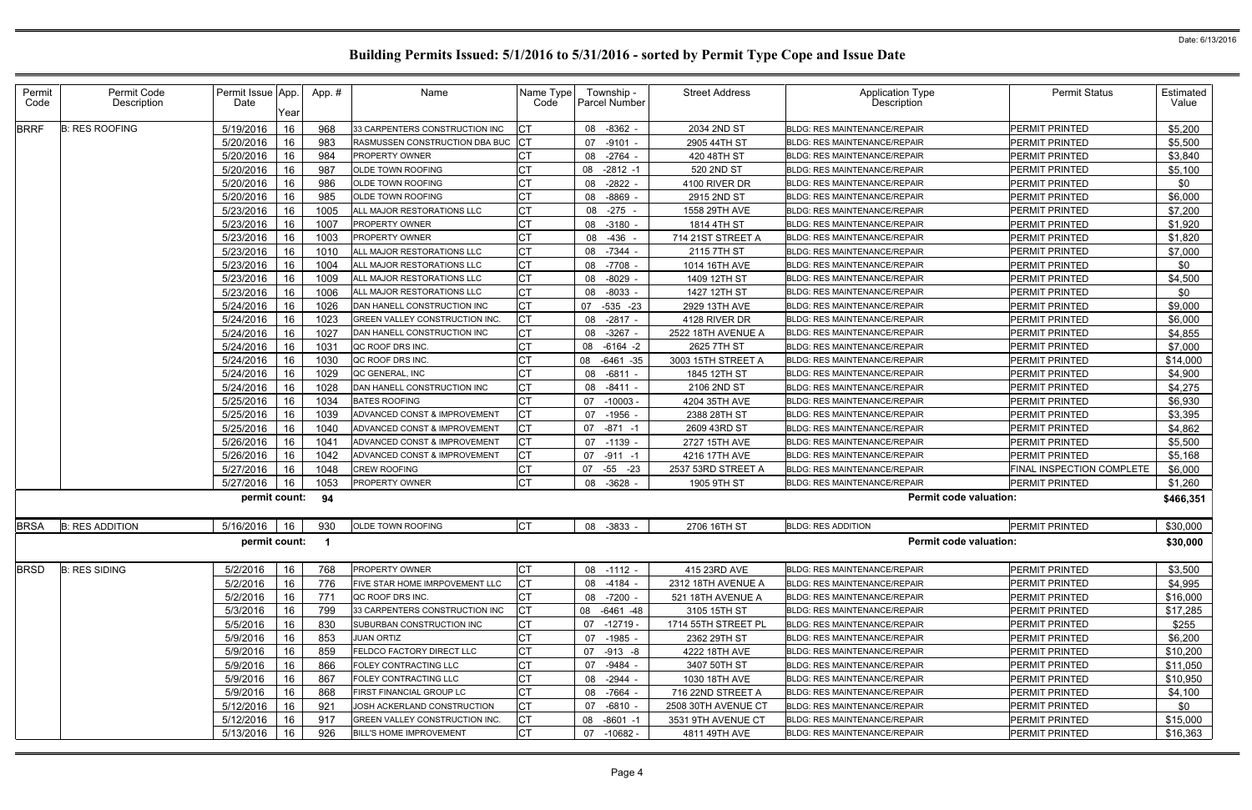| Permit<br>Code | Permit Code<br>Description | Permit Issue App.<br>Date | App.#<br>Year   | Name                           | Name Type<br>Code | Township -<br><b>Parcel Number</b> | <b>Street Address</b> | <b>Application Type</b><br><b>Description</b> | <b>Permit Status</b>      | Estimated<br>Value |
|----------------|----------------------------|---------------------------|-----------------|--------------------------------|-------------------|------------------------------------|-----------------------|-----------------------------------------------|---------------------------|--------------------|
| <b>BRRF</b>    | <b>B: RES ROOFING</b>      | 5/19/2016                 | 16<br>968       | 33 CARPENTERS CONSTRUCTION INC | IСТ               | 08 -8362 -                         | 2034 2ND ST           | <b>BLDG: RES MAINTENANCE/REPAIR</b>           | PERMIT PRINTED            | \$5,200            |
|                |                            | 5/20/2016                 | 16<br>983       | RASMUSSEN CONSTRUCTION DBA BUC |                   | $-9101 -$<br>07                    | 2905 44TH ST          | <b>BLDG: RES MAINTENANCE/REPAIR</b>           | PERMIT PRINTED            | \$5,500            |
|                |                            | 5/20/2016                 | 16<br>984       | <b>PROPERTY OWNER</b>          | <b>CT</b>         | 08 -2764 -                         | 420 48TH ST           | <b>BLDG: RES MAINTENANCE/REPAIR</b>           | <b>PERMIT PRINTED</b>     | \$3,840            |
|                |                            | 5/20/2016                 | 16<br>987       | OLDE TOWN ROOFING              | Iст               | $-2812 - 1$<br>08                  | 520 2ND ST            | <b>BLDG: RES MAINTENANCE/REPAIR</b>           | PERMIT PRINTED            | \$5,100            |
|                |                            | 5/20/2016                 | 16<br>986       | OLDE TOWN ROOFING              |                   | $-2822$<br>08                      | 4100 RIVER DR         | <b>BLDG: RES MAINTENANCE/REPAIR</b>           | <b>PERMIT PRINTED</b>     | \$0                |
|                |                            | 5/20/2016                 | 16<br>985       | OLDE TOWN ROOFING              | Iст               | 08 - 8869                          | 2915 2ND ST           | BLDG: RES MAINTENANCE/REPAIR                  | <b>PERMIT PRINTED</b>     | \$6,000            |
|                |                            | 5/23/2016                 | 16<br>1005      | ALL MAJOR RESTORATIONS LLC     | Iст               | 08 -275 -                          | 1558 29TH AVE         | <b>BLDG: RES MAINTENANCE/REPAIR</b>           | <b>PERMIT PRINTED</b>     | \$7,200            |
|                |                            | 5/23/2016                 | 16<br>1007      | PROPERTY OWNER                 | IСТ               | 08 -3180                           | 1814 4TH ST           | BLDG: RES MAINTENANCE/REPAIR                  | <b>PERMIT PRINTED</b>     | \$1,920            |
|                |                            | 5/23/2016                 | 16<br>1003      | <b>PROPERTY OWNER</b>          | Iст               | 08 -436                            | 714 21ST STREET A     | <b>BLDG: RES MAINTENANCE/REPAIR</b>           | <b>PERMIT PRINTED</b>     | \$1,820            |
|                |                            | 5/23/2016                 | 16<br>1010      | ALL MAJOR RESTORATIONS LLC     | IСТ               | 08 -7344 -                         | 2115 7TH ST           | <b>BLDG: RES MAINTENANCE/REPAIR</b>           | <b>PERMIT PRINTED</b>     | \$7,000            |
|                |                            | 5/23/2016                 | 16<br>1004      | ALL MAJOR RESTORATIONS LLC     | <b>CT</b>         | 08 -7708                           | 1014 16TH AVE         | <b>BLDG: RES MAINTENANCE/REPAIR</b>           | <b>PERMIT PRINTED</b>     | \$0                |
|                |                            | 5/23/2016                 | 16<br>1009      | ALL MAJOR RESTORATIONS LLC     | <b>CT</b>         | $-8029$<br>08                      | 1409 12TH ST          | <b>BLDG: RES MAINTENANCE/REPAIR</b>           | <b>PERMIT PRINTED</b>     | \$4,500            |
|                |                            | 5/23/2016                 | 16<br>1006      | ALL MAJOR RESTORATIONS LLC     | <b>CT</b>         | 08 -8033 -                         | 1427 12TH ST          | <b>BLDG: RES MAINTENANCE/REPAIR</b>           | PERMIT PRINTED            | \$0                |
|                |                            | 5/24/2016                 | 16<br>1026      | DAN HANELL CONSTRUCTION INC    | <b>CT</b>         | 07<br>-535 -23                     | 2929 13TH AVE         | <b>BLDG: RES MAINTENANCE/REPAIR</b>           | <b>PERMIT PRINTED</b>     | \$9,000            |
|                |                            | 5/24/2016                 | 16<br>1023      | GREEN VALLEY CONSTRUCTION INC  | IСТ               | 08 -2817 -                         | 4128 RIVER DR         | <b>BLDG: RES MAINTENANCE/REPAIR</b>           | <b>PERMIT PRINTED</b>     | \$6,000            |
|                |                            | 5/24/2016                 | 16<br>1027      | DAN HANELL CONSTRUCTION INC    | <b>CT</b>         | $-3267$<br>08                      | 2522 18TH AVENUE A    | BLDG: RES MAINTENANCE/REPAIR                  | PERMIT PRINTED            | \$4,855            |
|                |                            | 5/24/2016                 | 16<br>1031      | QC ROOF DRS INC.               | IСТ               | 08<br>$-6164 -2$                   | 2625 7TH ST           | <b>BLDG: RES MAINTENANCE/REPAIR</b>           | <b>PERMIT PRINTED</b>     | \$7,000            |
|                |                            | 5/24/2016                 | 16<br>1030      | QC ROOF DRS INC.               |                   | 80<br>$-6461 - 35$                 | 3003 15TH STREET A    | <b>BLDG: RES MAINTENANCE/REPAIR</b>           | <b>PERMIT PRINTED</b>     | \$14,000           |
|                |                            | 5/24/2016                 | 16<br>1029      | QC GENERAL, INC                | IСT               | 08<br>-6811 -                      | 1845 12TH ST          | <b>BLDG: RES MAINTENANCE/REPAIR</b>           | <b>PERMIT PRINTED</b>     | \$4,900            |
|                |                            | 5/24/2016                 | 16<br>1028      | DAN HANELL CONSTRUCTION INC    | <b>CT</b>         | 08<br>-8411 -                      | 2106 2ND ST           | <b>BLDG: RES MAINTENANCE/REPAIR</b>           | <b>PERMIT PRINTED</b>     | \$4,275            |
|                |                            | 5/25/2016                 | 16<br>1034      | <b>BATES ROOFING</b>           | <b>CT</b>         | 07<br>$-10003 -$                   | 4204 35TH AVE         | <b>BLDG: RES MAINTENANCE/REPAIR</b>           | <b>PERMIT PRINTED</b>     | \$6,930            |
|                |                            | 5/25/2016                 | 16<br>1039      | ADVANCED CONST & IMPROVEMENT   | <b>CT</b>         | $-1956$<br>07                      | 2388 28TH ST          | <b>BLDG: RES MAINTENANCE/REPAIR</b>           | PERMIT PRINTED            | \$3,395            |
|                |                            | 5/25/2016                 | 16<br>1040      | ADVANCED CONST & IMPROVEMENT   | <b>CT</b>         | 07 -871 -1                         | 2609 43RD ST          | <b>BLDG: RES MAINTENANCE/REPAIR</b>           | PERMIT PRINTED            | \$4,862            |
|                |                            | 5/26/2016                 | 16<br>1041      | ADVANCED CONST & IMPROVEMENT   | <b>CT</b>         | 07 -1139 -                         | 2727 15TH AVE         | BLDG: RES MAINTENANCE/REPAIR                  | <b>PERMIT PRINTED</b>     | \$5,500            |
|                |                            | 5/26/2016                 | 16<br>1042      | ADVANCED CONST & IMPROVEMENT   |                   | 07<br>$-911 - 1$                   | 4216 17TH AVE         | <b>BLDG: RES MAINTENANCE/REPAIR</b>           | PERMIT PRINTED            | \$5,168            |
|                |                            | 5/27/2016                 | 16<br>1048      | <b>CREW ROOFING</b>            | Iст               | 07<br>$-55 - 23$                   | 2537 53RD STREET A    | <b>BLDG: RES MAINTENANCE/REPAIR</b>           | FINAL INSPECTION COMPLETE | \$6,000            |
|                |                            | 5/27/2016                 | 16<br>1053      | PROPERTY OWNER                 | <b>CT</b>         | 08 -3628 -                         | 1905 9TH ST           | <b>BLDG: RES MAINTENANCE/REPAIR</b>           | PERMIT PRINTED            | \$1,260            |
|                |                            | permit count:             | 94              |                                |                   |                                    |                       | <b>Permit code valuation:</b>                 |                           | \$466,351          |
| <b>BRSA</b>    | <b>B: RES ADDITION</b>     | 5/16/2016                 | 930<br>16       | OLDE TOWN ROOFING              | Iст               | 08 -3833 -                         | 2706 16TH ST          | <b>BLDG: RES ADDITION</b>                     | <b>PERMIT PRINTED</b>     | \$30,000           |
|                |                            |                           | permit count: 1 |                                |                   |                                    |                       | <b>Permit code valuation:</b>                 |                           | \$30,000           |
| <b>BRSD</b>    | <b>B: RES SIDING</b>       | 5/2/2016                  | 16<br>768       | PROPERTY OWNER                 | <b>CT</b>         | 08 -1112 -                         | 415 23RD AVE          | BLDG: RES MAINTENANCE/REPAIR                  | PERMIT PRINTED            | \$3,500            |
|                |                            | 5/2/2016                  | 16<br>776       | FIVE STAR HOME IMRPOVEMENT LLC | <b>CT</b>         | 08 -4184 -                         | 2312 18TH AVENUE A    | <b>BLDG: RES MAINTENANCE/REPAIR</b>           | <b>PERMIT PRINTED</b>     | \$4,995            |
|                |                            | 5/2/2016                  | 16<br>771       | QC ROOF DRS INC.               | <b>CT</b>         | 08 -7200 -                         | 521 18TH AVENUE A     | BLDG: RES MAINTENANCE/REPAIR                  | <b>PERMIT PRINTED</b>     | \$16,000           |
|                |                            | 5/3/2016                  | 16<br>799       | 33 CARPENTERS CONSTRUCTION INC | IСТ               | 08 -6461 -48                       | 3105 15TH ST          | BLDG: RES MAINTENANCE/REPAIR                  | <b>PERMIT PRINTED</b>     | \$17,285           |
|                |                            | 5/5/2016                  | 16<br>830       | SUBURBAN CONSTRUCTION INC      | <b>CT</b>         | 07 -12719 -                        | 1714 55TH STREET PL   | <b>BLDG: RES MAINTENANCE/REPAIR</b>           | PERMIT PRINTED            | \$255              |
|                |                            | 5/9/2016                  | 16<br>853       | <b>JUAN ORTIZ</b>              | <b>CT</b>         | 07 -1985 -                         | 2362 29TH ST          | <b>BLDG: RES MAINTENANCE/REPAIR</b>           | PERMIT PRINTED            | \$6,200            |
|                |                            | 5/9/2016                  | 16<br>859       | FELDCO FACTORY DIRECT LLC      | <b>CT</b>         | 07 -913 -8                         | 4222 18TH AVE         | <b>BLDG: RES MAINTENANCE/REPAIR</b>           | PERMIT PRINTED            | \$10,200           |
|                |                            | 5/9/2016                  | 16<br>866       | FOLEY CONTRACTING LLC          | Iст               | 07 -9484 -                         | 3407 50TH ST          | <b>BLDG: RES MAINTENANCE/REPAIR</b>           | <b>PERMIT PRINTED</b>     | \$11,050           |
|                |                            | 5/9/2016                  | 867<br>16       | FOLEY CONTRACTING LLC          | Iст               | 08 -2944 -                         | 1030 18TH AVE         | <b>BLDG: RES MAINTENANCE/REPAIR</b>           | PERMIT PRINTED            | \$10,950           |
|                |                            | 5/9/2016                  | 16<br>868       | FIRST FINANCIAL GROUP LC       | IСТ               | 08 -7664 -                         | 716 22ND STREET A     | BLDG: RES MAINTENANCE/REPAIR                  | PERMIT PRINTED            | \$4,100            |
|                |                            | 5/12/2016                 | 921<br>16       | JOSH ACKERLAND CONSTRUCTION    | IСТ               | 07 -6810 -                         | 2508 30TH AVENUE CT   | BLDG: RES MAINTENANCE/REPAIR                  | PERMIT PRINTED            | \$0                |
|                |                            | 5/12/2016                 | 16<br>917       | GREEN VALLEY CONSTRUCTION INC. | <b>CT</b>         | 08 -8601 -1                        | 3531 9TH AVENUE CT    | <b>BLDG: RES MAINTENANCE/REPAIR</b>           | <b>PERMIT PRINTED</b>     | \$15,000           |
|                |                            | 5/13/2016                 | 16<br>926       | <b>BILL'S HOME IMPROVEMENT</b> | <b>CT</b>         | 07 -10682 -                        | 4811 49TH AVE         | BLDG: RES MAINTENANCE/REPAIR                  | PERMIT PRINTED            | \$16,363           |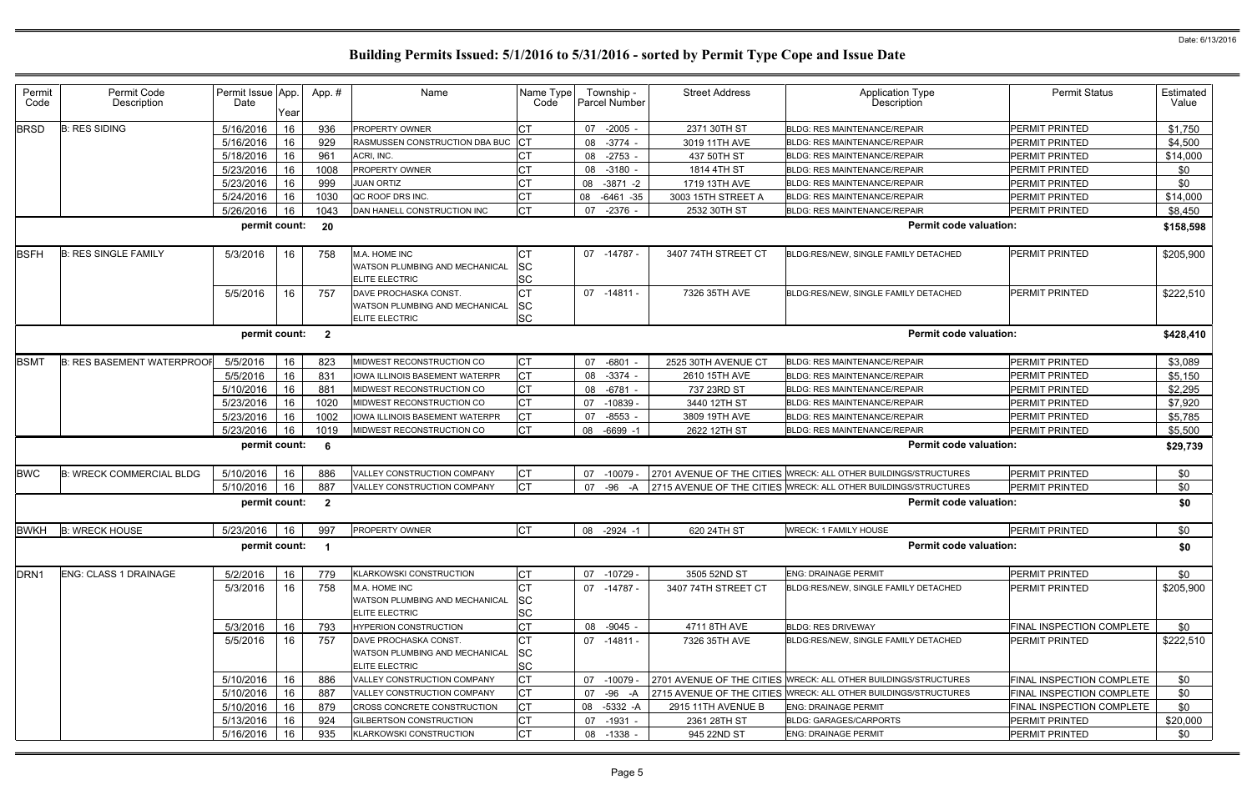| Permit<br>Code   | Permit Code<br>Description        | Permit Issue App<br>Date | Year | App.#          | Name                                                                             | Name Type<br>Code            |    | Township -<br><b>Parcel Number</b> | <b>Street Address</b> | <b>Application Type</b><br>Description                          | <b>Permit Status</b>      | Estimated<br>Value |
|------------------|-----------------------------------|--------------------------|------|----------------|----------------------------------------------------------------------------------|------------------------------|----|------------------------------------|-----------------------|-----------------------------------------------------------------|---------------------------|--------------------|
| <b>BRSD</b>      | <b>B: RES SIDING</b>              | 5/16/2016                | 16   | 936            | PROPERTY OWNER                                                                   | <b>CT</b>                    | 07 | $-2005$ -                          | 2371 30TH ST          | <b>BLDG: RES MAINTENANCE/REPAIR</b>                             | PERMIT PRINTED            | \$1,750            |
|                  |                                   | 5/16/2016                | 16   | 929            | RASMUSSEN CONSTRUCTION DBA BUC                                                   |                              | 08 | $-3774$                            | 3019 11TH AVE         | <b>BLDG: RES MAINTENANCE/REPAIR</b>                             | PERMIT PRINTED            | \$4,500            |
|                  |                                   | 5/18/2016                | 16   | 961            | ACRI, INC.                                                                       | СT                           | 08 | $-2753$ -                          | 437 50TH ST           | <b>BLDG: RES MAINTENANCE/REPAIR</b>                             | PERMIT PRINTED            | \$14,000           |
|                  |                                   | 5/23/2016                | 16   | 1008           | PROPERTY OWNER                                                                   |                              | 08 | $-3180 -$                          | 1814 4TH ST           | <b>BLDG: RES MAINTENANCE/REPAIR</b>                             | <b>PERMIT PRINTED</b>     | \$0                |
|                  |                                   | 5/23/2016                | 16   | 999            | <b>JUAN ORTIZ</b>                                                                | СT                           | 08 | $-3871 - 2$                        | 1719 13TH AVE         | <b>BLDG: RES MAINTENANCE/REPAIR</b>                             | <b>PERMIT PRINTED</b>     | \$0                |
|                  |                                   | 5/24/2016                | 16   | 1030           | QC ROOF DRS INC.                                                                 | СT                           | 08 | $-6461 - 35$                       | 3003 15TH STREET A    | BLDG: RES MAINTENANCE/REPAIR                                    | PERMIT PRINTED            | \$14,000           |
|                  |                                   | 5/26/2016                | 16   | 1043           | DAN HANELL CONSTRUCTION INC                                                      | <b>CT</b>                    | 07 | $-2376$ -                          | 2532 30TH ST          | <b>BLDG: RES MAINTENANCE/REPAIR</b>                             | PERMIT PRINTED            | \$8,450            |
|                  |                                   | permit count:            |      | 20             |                                                                                  |                              |    |                                    |                       | <b>Permit code valuation:</b>                                   |                           | \$158,598          |
| <b>BSFH</b>      | <b>B: RES SINGLE FAMILY</b>       | 5/3/2016                 | 16   | 758            | M.A. HOME INC<br>WATSON PLUMBING AND MECHANICAL<br><b>ELITE ELECTRIC</b>         | СT<br>SC<br><b>SC</b>        |    | 07 -14787 -                        | 3407 74TH STREET CT   | BLDG:RES/NEW, SINGLE FAMILY DETACHED                            | <b>PERMIT PRINTED</b>     | \$205,900          |
|                  |                                   | 5/5/2016                 | 16   | 757            | DAVE PROCHASKA CONST.<br>WATSON PLUMBING AND MECHANICAL<br><b>ELITE ELECTRIC</b> | СT<br>SC<br><b>SC</b>        | 07 | -14811 -                           | 7326 35TH AVE         | BLDG:RES/NEW, SINGLE FAMILY DETACHED                            | <b>PERMIT PRINTED</b>     | \$222,510          |
|                  |                                   | permit count:            |      | $\overline{2}$ |                                                                                  |                              |    |                                    |                       | <b>Permit code valuation:</b>                                   |                           | \$428,410          |
| <b>BSMT</b>      | <b>B: RES BASEMENT WATERPROOF</b> | 5/5/2016                 | 16   | 823            | MIDWEST RECONSTRUCTION CO                                                        | <b>CT</b>                    | 07 | $-6801$                            | 2525 30TH AVENUE CT   | <b>BLDG: RES MAINTENANCE/REPAIR</b>                             | PERMIT PRINTED            | \$3,089            |
|                  |                                   | 5/5/2016                 | 16   | 831            | IOWA ILLINOIS BASEMENT WATERPR                                                   | Iст                          | 08 | $-3374$                            | 2610 15TH AVE         | <b>BLDG: RES MAINTENANCE/REPAIR</b>                             | PERMIT PRINTED            | \$5,150            |
|                  |                                   | 5/10/2016                | 16   | 881            | MIDWEST RECONSTRUCTION CO                                                        | <b>CT</b>                    | 08 | $-6781$                            | 737 23RD ST           | <b>BLDG: RES MAINTENANCE/REPAIR</b>                             | PERMIT PRINTED            | \$2,295            |
|                  |                                   | 5/23/2016                | 16   | 1020           | MIDWEST RECONSTRUCTION CO                                                        | <b>CT</b>                    | 07 | $-10839$                           | 3440 12TH ST          | <b>BLDG: RES MAINTENANCE/REPAIR</b>                             | PERMIT PRINTED            | \$7,920            |
|                  |                                   | 5/23/2016                | 16   | 1002           | IOWA ILLINOIS BASEMENT WATERPR                                                   | <b>CT</b>                    | 07 | $-8553 -$                          | 3809 19TH AVE         | <b>BLDG: RES MAINTENANCE/REPAIR</b>                             | <b>PERMIT PRINTED</b>     | \$5,785            |
|                  |                                   | 5/23/2016                | 16   | 1019           | MIDWEST RECONSTRUCTION CO                                                        | СT                           | 08 | $-6699 - 1$                        | 2622 12TH ST          | BLDG: RES MAINTENANCE/REPAIR                                    | PERMIT PRINTED            | \$5,500            |
|                  |                                   | permit count:            |      | -6             |                                                                                  |                              |    |                                    |                       | <b>Permit code valuation:</b>                                   |                           | \$29,739           |
| <b>BWC</b>       | <b>B: WRECK COMMERCIAL BLDG</b>   | 5/10/2016                | 16   | 886            | VALLEY CONSTRUCTION COMPANY                                                      | <b>CT</b>                    | 07 | -10079                             |                       | 2701 AVENUE OF THE CITIES WRECK: ALL OTHER BUILDINGS/STRUCTURES | <b>PERMIT PRINTED</b>     | \$0                |
|                  |                                   | 5/10/2016                | 16   | 887            | VALLEY CONSTRUCTION COMPANY                                                      | <b>CT</b>                    | 07 | -96<br>-A                          |                       | 2715 AVENUE OF THE CITIES WRECK: ALL OTHER BUILDINGS/STRUCTURES | PERMIT PRINTED            | \$0                |
|                  |                                   | permit count:            |      | $\mathbf{2}$   |                                                                                  |                              |    |                                    |                       | <b>Permit code valuation:</b>                                   |                           | \$0                |
| <b>BWKH</b>      | <b>B: WRECK HOUSE</b>             | 5/23/2016                | 16   | 997            | PROPERTY OWNER                                                                   | <b>ICT</b>                   |    | 08 -2924 -1                        | 620 24TH ST           | <b>WRECK: 1 FAMILY HOUSE</b>                                    | <b>PERMIT PRINTED</b>     | \$0                |
|                  |                                   | permit count:            |      |                |                                                                                  |                              |    |                                    |                       | <b>Permit code valuation:</b>                                   |                           | \$0                |
| DRN <sub>1</sub> | <b>ENG: CLASS 1 DRAINAGE</b>      | 5/2/2016                 | 16   | 779            | KLARKOWSKI CONSTRUCTION                                                          | <b>CT</b>                    |    | 07 -10729 -                        | 3505 52ND ST          | <b>ENG: DRAINAGE PERMIT</b>                                     | PERMIT PRINTED            | \$0                |
|                  |                                   | 5/3/2016                 | 16   | 758            | M.A. HOME INC<br>WATSON PLUMBING AND MECHANICAL<br><b>ELITE ELECTRIC</b>         | СT<br>SC<br><b>SC</b>        |    | 07 -14787 -                        | 3407 74TH STREET CT   | BLDG:RES/NEW, SINGLE FAMILY DETACHED                            | <b>PERMIT PRINTED</b>     | \$205,900          |
|                  |                                   | 5/3/2016                 | 16   | 793            | <b>HYPERION CONSTRUCTION</b>                                                     |                              | 08 | $-9045 -$                          | 4711 8TH AVE          | <b>BLDG: RES DRIVEWAY</b>                                       | FINAL INSPECTION COMPLETE | \$0                |
|                  |                                   | 5/5/2016                 | 16   | 757            | DAVE PROCHASKA CONST.<br>WATSON PLUMBING AND MECHANICAL<br><b>ELITE ELECTRIC</b> | <b>CT</b><br>SC<br><b>SC</b> |    | 07 -14811 -                        | 7326 35TH AVE         | BLDG:RES/NEW, SINGLE FAMILY DETACHED                            | <b>PERMIT PRINTED</b>     | \$222,510          |
|                  |                                   | 5/10/2016                | 16   | 886            | VALLEY CONSTRUCTION COMPANY                                                      | СT                           | 07 | -10079                             |                       | 2701 AVENUE OF THE CITIES WRECK: ALL OTHER BUILDINGS/STRUCTURES | FINAL INSPECTION COMPLETE | \$0                |
|                  |                                   | 5/10/2016                | 16   | 887            | VALLEY CONSTRUCTION COMPANY                                                      | <b>CT</b>                    | 07 | $-96 - A$                          |                       | 2715 AVENUE OF THE CITIES WRECK: ALL OTHER BUILDINGS/STRUCTURES | FINAL INSPECTION COMPLETE | \$0                |
|                  |                                   | 5/10/2016                | 16   | 879            | CROSS CONCRETE CONSTRUCTION                                                      | Iст                          | 08 | -5332 -A                           | 2915 11TH AVENUE B    | <b>ENG: DRAINAGE PERMIT</b>                                     | FINAL INSPECTION COMPLETE | \$0                |
|                  |                                   | 5/13/2016                | 16   | 924            | GILBERTSON CONSTRUCTION                                                          | <b>CT</b>                    | 07 | $-1931 -$                          | 2361 28TH ST          | <b>BLDG: GARAGES/CARPORTS</b>                                   | PERMIT PRINTED            | \$20,000           |
|                  |                                   | 5/16/2016                | 16   | 935            | KLARKOWSKI CONSTRUCTION                                                          | <b>CT</b>                    | 08 | $-1338 -$                          | 945 22ND ST           | <b>ENG: DRAINAGE PERMIT</b>                                     | PERMIT PRINTED            | \$0                |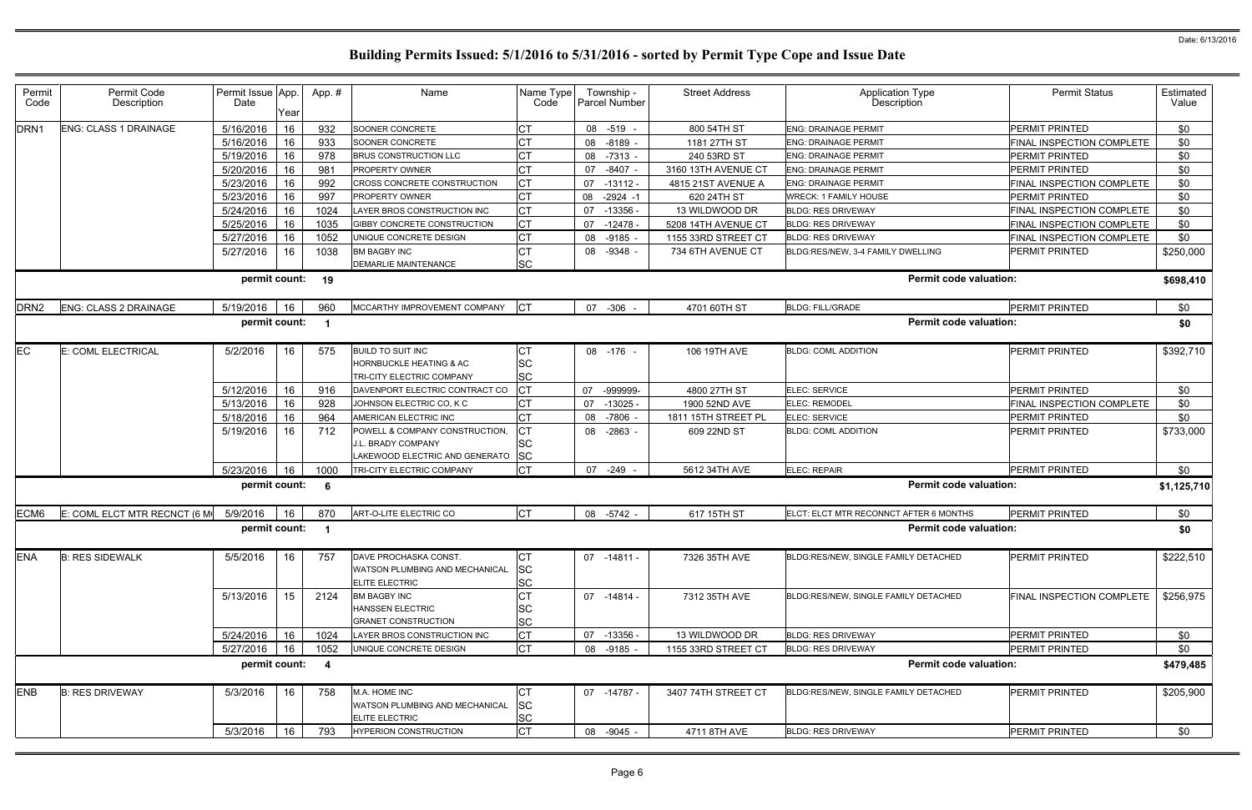| Permit<br>Code   | Permit Code<br>Description   | Permit Issue App.<br>Date | Year | App.#            | Name                                                           | Name Type<br>Code      |    | Township -<br><b>Parcel Number</b> | <b>Street Address</b> | <b>Application Type</b><br>Description | <b>Permit Status</b>      | Estimated<br>Value |
|------------------|------------------------------|---------------------------|------|------------------|----------------------------------------------------------------|------------------------|----|------------------------------------|-----------------------|----------------------------------------|---------------------------|--------------------|
| DRN <sub>1</sub> | <b>ENG: CLASS 1 DRAINAGE</b> | 5/16/2016                 | 16   | 932              | SOONER CONCRETE                                                | СT                     | 08 | $-519$                             | 800 54TH ST           | <b>ENG: DRAINAGE PERMIT</b>            | PERMIT PRINTED            | \$0                |
|                  |                              | 5/16/2016                 | 16   | 933              | SOONER CONCRETE                                                |                        | 08 | $-8189$ -                          | 1181 27TH ST          | <b>ENG: DRAINAGE PERMIT</b>            | FINAL INSPECTION COMPLETE | \$0                |
|                  |                              | 5/19/2016                 | 16   | 978              | <b>BRUS CONSTRUCTION LLC</b>                                   | СT                     | 08 | $-7313 -$                          | 240 53RD ST           | <b>ENG: DRAINAGE PERMIT</b>            | PERMIT PRINTED            | \$0                |
|                  |                              | 5/20/2016                 | 16   | 981              | PROPERTY OWNER                                                 | СT                     | 07 | $-8407 -$                          | 3160 13TH AVENUE CT   | <b>ENG: DRAINAGE PERMIT</b>            | PERMIT PRINTED            | \$0                |
|                  |                              | 5/23/2016                 | 16   | 992              | CROSS CONCRETE CONSTRUCTION                                    | <b>CT</b>              | 07 | $-13112 -$                         | 4815 21ST AVENUE A    | <b>ENG: DRAINAGE PERMIT</b>            | FINAL INSPECTION COMPLETE | \$0                |
|                  |                              | 5/23/2016                 | 16   | 997              | <b>PROPERTY OWNER</b>                                          | СT                     | 08 | $-2924 - 1$                        | 620 24TH ST           | <b>WRECK: 1 FAMILY HOUSE</b>           | PERMIT PRINTED            | \$0                |
|                  |                              | 5/24/2016                 | 16   | 1024             | LAYER BROS CONSTRUCTION INC                                    | СT                     | 07 | $-13356 -$                         | 13 WILDWOOD DR        | <b>BLDG: RES DRIVEWAY</b>              | FINAL INSPECTION COMPLETE | \$0                |
|                  |                              | 5/25/2016                 | 16   | 1035             | GIBBY CONCRETE CONSTRUCTION                                    | <b>CT</b>              | 07 | $-12478$                           | 5208 14TH AVENUE CT   | <b>BLDG: RES DRIVEWAY</b>              | FINAL INSPECTION COMPLETE | \$0                |
|                  |                              | 5/27/2016                 | 16   | 1052             | UNIQUE CONCRETE DESIGN                                         | <b>CT</b>              | 08 | $-9185$ -                          | 1155 33RD STREET CT   | <b>BLDG: RES DRIVEWAY</b>              | FINAL INSPECTION COMPLETE | \$0                |
|                  |                              | 5/27/2016                 | 16   | 1038             | <b>BM BAGBY INC</b>                                            | <b>CT</b>              | 08 | $-9348 -$                          | 734 6TH AVENUE CT     | BLDG:RES/NEW, 3-4 FAMILY DWELLING      | PERMIT PRINTED            | \$250,000          |
|                  |                              |                           |      |                  | DEMARLIE MAINTENANCE                                           | <b>SC</b>              |    |                                    |                       |                                        |                           |                    |
|                  |                              | permit count:             |      | 19               |                                                                |                        |    |                                    |                       | <b>Permit code valuation:</b>          |                           | \$698,410          |
| DRN2             | <b>ENG: CLASS 2 DRAINAGE</b> | 5/19/2016                 | 16   | 960              | MCCARTHY IMPROVEMENT COMPANY                                   | IСТ                    |    | 07 -306                            | 4701 60TH ST          | <b>BLDG: FILL/GRADE</b>                | PERMIT PRINTED            | \$0                |
|                  |                              | permit count:             |      |                  |                                                                |                        |    |                                    |                       | <b>Permit code valuation:</b>          |                           |                    |
|                  |                              |                           |      |                  |                                                                |                        |    |                                    |                       |                                        |                           | \$0                |
| EС               | E: COML ELECTRICAL           | 5/2/2016                  | 16   | 575              | <b>BUILD TO SUIT INC</b>                                       | C1                     |    | 08 -176 -                          | 106 19TH AVE          | <b>BLDG: COML ADDITION</b>             | PERMIT PRINTED            | \$392,710          |
|                  |                              |                           |      |                  | <b>HORNBUCKLE HEATING &amp; AC</b>                             | SC                     |    |                                    |                       |                                        |                           |                    |
|                  |                              |                           |      |                  | TRI-CITY ELECTRIC COMPANY                                      | <b>SC</b>              |    |                                    |                       |                                        |                           |                    |
|                  |                              | 5/12/2016                 | 16   | 916              | DAVENPORT ELECTRIC CONTRACT CO                                 | <b>CT</b>              | 07 | -999999-                           | 4800 27TH ST          | ELEC: SERVICE                          | PERMIT PRINTED            | \$0                |
|                  |                              | 5/13/2016                 | 16   | 928              | JOHNSON ELECTRIC CO, K C                                       | СT                     | 07 | $-13025 -$                         | 1900 52ND AVE         | <b>ELEC: REMODEL</b>                   | FINAL INSPECTION COMPLETE | \$0                |
|                  |                              | 5/18/2016                 | 16   | 964              | AMERICAN ELECTRIC INC                                          | СT                     | 08 | $-7806$ -                          | 1811 15TH STREET PL   | ELEC: SERVICE                          | PERMIT PRINTED            | \$0                |
|                  |                              | 5/19/2016                 | 16   | 712              | POWELL & COMPANY CONSTRUCTION,                                 | СT                     |    | 08 -2863 -                         | 609 22ND ST           | <b>BLDG: COML ADDITION</b>             | PERMIT PRINTED            | \$733,000          |
|                  |                              |                           |      |                  | J.L. BRADY COMPANY                                             | <b>SC</b>              |    |                                    |                       |                                        |                           |                    |
|                  |                              |                           |      |                  | LAKEWOOD ELECTRIC AND GENERATO                                 | <b>SC</b>              |    |                                    |                       |                                        |                           |                    |
|                  |                              | 5/23/2016                 | 16   | 1000             | TRI-CITY ELECTRIC COMPANY                                      | Iст                    | 07 | $-249$                             | 5612 34TH AVE         | ELEC: REPAIR                           | PERMIT PRINTED            | \$0                |
|                  |                              | permit count:             |      | -6               |                                                                |                        |    |                                    |                       | <b>Permit code valuation:</b>          |                           | \$1,125,710        |
| ECM6             | E: COML ELCT MTR RECNCT (6 M | 5/9/2016                  | 16   | 870              | ART-O-LITE ELECTRIC CO                                         | <b>CT</b>              |    | 08 -5742 -                         | 617 15TH ST           | ELCT: ELCT MTR RECONNCT AFTER 6 MONTHS | PERMIT PRINTED            | \$0                |
|                  |                              | permit count:             |      |                  |                                                                |                        |    |                                    |                       | <b>Permit code valuation:</b>          |                           | \$0                |
|                  |                              |                           |      |                  |                                                                |                        |    |                                    |                       |                                        |                           |                    |
| <b>ENA</b>       | <b>B: RES SIDEWALK</b>       | 5/5/2016                  | 16   | 757              | DAVE PROCHASKA CONST.<br><b>WATSON PLUMBING AND MECHANICAL</b> | СT                     |    | 07 -14811 -                        | 7326 35TH AVE         | BLDG:RES/NEW, SINGLE FAMILY DETACHED   | PERMIT PRINTED            | \$222,510          |
|                  |                              |                           |      |                  | <b>ELITE ELECTRIC</b>                                          | <b>SC</b><br><b>SC</b> |    |                                    |                       |                                        |                           |                    |
|                  |                              | 5/13/2016                 | 15   | 2124             | <b>BM BAGBY INC</b>                                            | СT                     |    | 07 -14814 -                        | 7312 35TH AVE         | BLDG:RES/NEW, SINGLE FAMILY DETACHED   | FINAL INSPECTION COMPLETE | \$256,975          |
|                  |                              |                           |      |                  | <b>HANSSEN ELECTRIC</b>                                        | SC                     |    |                                    |                       |                                        |                           |                    |
|                  |                              |                           |      |                  | <b>GRANET CONSTRUCTION</b>                                     | <b>SC</b>              |    |                                    |                       |                                        |                           |                    |
|                  |                              | 5/24/2016                 | 16   | 1024             | LAYER BROS CONSTRUCTION INC                                    | <b>CT</b>              | 07 | -13356 -                           | 13 WILDWOOD DR        | <b>BLDG: RES DRIVEWAY</b>              | PERMIT PRINTED            | \$0                |
|                  |                              | 5/27/2016                 | 16   | 1052             | UNIQUE CONCRETE DESIGN                                         | <b>CT</b>              | 08 | -9185 -                            | 1155 33RD STREET CT   | <b>BLDG: RES DRIVEWAY</b>              | PERMIT PRINTED            | \$0                |
|                  |                              | permit count:             |      | $\boldsymbol{4}$ |                                                                |                        |    |                                    |                       | <b>Permit code valuation:</b>          |                           | \$479,485          |
|                  |                              |                           |      |                  | M.A. HOME INC                                                  |                        |    |                                    |                       |                                        |                           |                    |
| ENB              | <b>B: RES DRIVEWAY</b>       | 5/3/2016                  | 16   | 758              | WATSON PLUMBING AND MECHANICAL                                 | <b>CT</b>              |    | 07 -14787 -                        | 3407 74TH STREET CT   | BLDG:RES/NEW, SINGLE FAMILY DETACHED   | PERMIT PRINTED            | \$205,900          |
|                  |                              |                           |      |                  | <b>ELITE ELECTRIC</b>                                          | SC<br><b>SC</b>        |    |                                    |                       |                                        |                           |                    |
|                  |                              | 5/3/2016                  | 16   | 793              | HYPERION CONSTRUCTION                                          | <b>CT</b>              |    | 08 -9045 -                         | 4711 8TH AVE          | <b>BLDG: RES DRIVEWAY</b>              | PERMIT PRINTED            | \$0                |
|                  |                              |                           |      |                  |                                                                |                        |    |                                    |                       |                                        |                           |                    |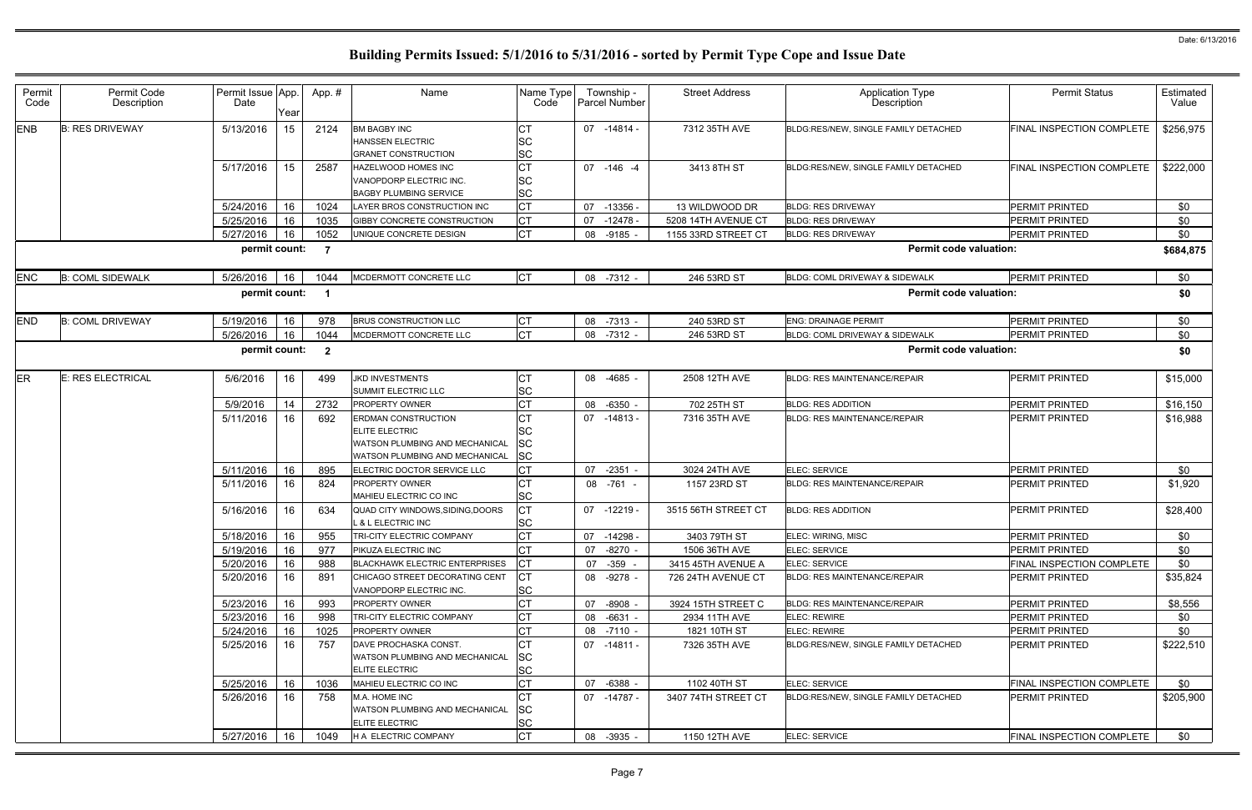| Permit<br>Code | Permit Code<br>Description | Permit Issue App<br>Date | Year | App.#          | Name                                                                                                                           | Name Type<br>Code                   |    | Township -<br>Parcel Number | <b>Street Address</b> | <b>Application Type</b><br>Description | <b>Permit Status</b>      | Estimated<br>Value |
|----------------|----------------------------|--------------------------|------|----------------|--------------------------------------------------------------------------------------------------------------------------------|-------------------------------------|----|-----------------------------|-----------------------|----------------------------------------|---------------------------|--------------------|
| <b>ENB</b>     | <b>B: RES DRIVEWAY</b>     | 5/13/2016                | 15   | 2124           | <b>BM BAGBY INC</b><br><b>HANSSEN ELECTRIC</b><br><b>GRANET CONSTRUCTION</b>                                                   | CТ<br>SC<br><b>SC</b>               |    | 07 -14814 -                 | 7312 35TH AVE         | BLDG:RES/NEW, SINGLE FAMILY DETACHED   | FINAL INSPECTION COMPLETE | \$256,975          |
|                |                            | 5/17/2016                | 15   | 2587           | <b>HAZELWOOD HOMES INC</b><br>VANOPDORP ELECTRIC INC.<br><b>BAGBY PLUMBING SERVICE</b>                                         | <b>CT</b><br><b>SC</b><br><b>SC</b> |    | 07 -146 -4                  | 3413 8TH ST           | BLDG:RES/NEW, SINGLE FAMILY DETACHED   | FINAL INSPECTION COMPLETE | \$222,000          |
|                |                            | 5/24/2016                | 16   | 1024           | LAYER BROS CONSTRUCTION INC                                                                                                    | <b>CT</b>                           | 07 | $-13356 -$                  | 13 WILDWOOD DR        | <b>BLDG: RES DRIVEWAY</b>              | <b>PERMIT PRINTED</b>     | \$0                |
|                |                            | 5/25/2016                | 16   | 1035           | GIBBY CONCRETE CONSTRUCTION                                                                                                    | <b>CT</b>                           | 07 | $-12478.$                   | 5208 14TH AVENUE CT   | <b>BLDG: RES DRIVEWAY</b>              | PERMIT PRINTED            | \$0                |
|                |                            | 5/27/2016                | 16   | 1052           | UNIQUE CONCRETE DESIGN                                                                                                         | <b>CT</b>                           | 08 | $-9185$ .                   | 1155 33RD STREET CT   | <b>BLDG: RES DRIVEWAY</b>              | PERMIT PRINTED            | \$0                |
|                |                            | permit count:            |      | $\overline{7}$ |                                                                                                                                |                                     |    |                             |                       | <b>Permit code valuation:</b>          |                           | \$684,875          |
| ENC            | <b>B: COML SIDEWALK</b>    | 5/26/2016                | 16   | 1044           | MCDERMOTT CONCRETE LLC                                                                                                         | <b>CT</b>                           |    | 08 -7312 -                  | 246 53RD ST           | BLDG: COML DRIVEWAY & SIDEWALK         | <b>PERMIT PRINTED</b>     | \$0                |
|                |                            | permit count:            |      |                |                                                                                                                                |                                     |    |                             |                       | <b>Permit code valuation:</b>          |                           | \$0                |
| <b>END</b>     | <b>B: COML DRIVEWAY</b>    | 5/19/2016                | 16   | 978            | <b>BRUS CONSTRUCTION LLC</b>                                                                                                   | <b>CT</b>                           |    | 08 -7313 -                  | 240 53RD ST           | <b>ENG: DRAINAGE PERMIT</b>            | <b>PERMIT PRINTED</b>     | \$0                |
|                |                            | 5/26/2016                | 16   | 1044           | MCDERMOTT CONCRETE LLC                                                                                                         | <b>CT</b>                           | 08 | $-7312 -$                   | 246 53RD ST           | BLDG: COML DRIVEWAY & SIDEWALK         | <b>PERMIT PRINTED</b>     | \$0                |
|                |                            | permit count:            |      | $\overline{2}$ |                                                                                                                                |                                     |    |                             |                       | <b>Permit code valuation:</b>          |                           | \$0                |
| ER             | E: RES ELECTRICAL          | 5/6/2016                 | 16   | 499            | <b>JKD INVESTMENTS</b><br><b>SUMMIT ELECTRIC LLC</b>                                                                           | CT<br><b>SC</b>                     |    | 08 -4685 -                  | 2508 12TH AVE         | <b>BLDG: RES MAINTENANCE/REPAIR</b>    | PERMIT PRINTED            | \$15,000           |
|                |                            | 5/9/2016                 | 14   | 2732           | <b>PROPERTY OWNER</b>                                                                                                          | СT                                  | 08 | $-6350$                     | 702 25TH ST           | <b>BLDG: RES ADDITION</b>              | PERMIT PRINTED            | \$16,150           |
|                |                            | 5/11/2016                | 16   | 692            | <b>ERDMAN CONSTRUCTION</b><br><b>ELITE ELECTRIC</b><br>WATSON PLUMBING AND MECHANICAL<br><b>WATSON PLUMBING AND MECHANICAL</b> | <b>SC</b><br>SC<br><b>SC</b>        |    | 07 -14813 -                 | 7316 35TH AVE         | <b>BLDG: RES MAINTENANCE/REPAIR</b>    | <b>PERMIT PRINTED</b>     | \$16,988           |
|                |                            | 5/11/2016                | 16   | 895            | ELECTRIC DOCTOR SERVICE LLC                                                                                                    | <b>CT</b>                           | 07 | $-2351$ -                   | 3024 24TH AVE         | ELEC: SERVICE                          | <b>PERMIT PRINTED</b>     | \$0                |
|                |                            | 5/11/2016                | 16   | 824            | <b>PROPERTY OWNER</b><br>MAHIEU ELECTRIC CO INC                                                                                | <b>SC</b>                           |    | 08 -761 -                   | 1157 23RD ST          | <b>BLDG: RES MAINTENANCE/REPAIR</b>    | <b>PERMIT PRINTED</b>     | \$1,920            |
|                |                            | 5/16/2016                | 16   | 634            | QUAD CITY WINDOWS, SIDING, DOORS<br>L & L ELECTRIC INC                                                                         | <b>CT</b><br><b>SC</b>              |    | 07 -12219 -                 | 3515 56TH STREET CT   | <b>BLDG: RES ADDITION</b>              | <b>PERMIT PRINTED</b>     | \$28,400           |
|                |                            | 5/18/2016 16             |      | 955            | TRI-CITY ELECTRIC COMPANY                                                                                                      | $\cap$ T<br><b>UI</b>               |    | 07 -14298 -                 | 3403 79TH ST          | ELEC: WIRING, MISC                     | PERMIT PRINTED            | \$0                |
|                |                            | 5/19/2016                | 16   | 977            | <b>PIKUZA ELECTRIC INC</b>                                                                                                     |                                     | 07 | -8270 -                     | 1506 36TH AVE         | ELEC: SERVICE                          | <b>PERMIT PRINTED</b>     | \$0                |
|                |                            | 5/20/2016                | 16   | 988            | <b>BLACKHAWK ELECTRIC ENTERPRISES</b>                                                                                          |                                     | 07 | $-359 -$                    | 3415 45TH AVENUE A    | ELEC: SERVICE                          | FINAL INSPECTION COMPLETE | \$0                |
|                |                            | 5/20/2016                | 16   | 891            | CHICAGO STREET DECORATING CENT<br>VANOPDORP ELECTRIC INC.                                                                      | СT<br><b>SC</b>                     |    | 08 -9278 -                  | 726 24TH AVENUE CT    | <b>BLDG: RES MAINTENANCE/REPAIR</b>    | <b>PERMIT PRINTED</b>     | \$35,824           |
|                |                            | 5/23/2016                | 16   | 993            | <b>PROPERTY OWNER</b>                                                                                                          | СT                                  | 07 | $-8908 -$                   | 3924 15TH STREET C    | <b>BLDG: RES MAINTENANCE/REPAIR</b>    | PERMIT PRINTED            | \$8,556            |
|                |                            | 5/23/2016                | 16   | 998            | TRI-CITY ELECTRIC COMPANY                                                                                                      |                                     | 08 | $-6631 -$                   | 2934 11TH AVE         | <b>ELEC: REWIRE</b>                    | PERMIT PRINTED            | \$0                |
|                |                            | 5/24/2016                | 16   | 1025           | <b>PROPERTY OWNER</b>                                                                                                          |                                     | 08 | $-7110 -$                   | 1821 10TH ST          | ELEC: REWIRE                           | <b>PERMIT PRINTED</b>     | \$0                |
|                |                            | 5/25/2016                | 16   | 757            | DAVE PROCHASKA CONST.<br>WATSON PLUMBING AND MECHANICAL<br><b>ELITE ELECTRIC</b>                                               | <b>SC</b><br><b>SC</b>              |    | 07 -14811 -                 | 7326 35TH AVE         | BLDG:RES/NEW, SINGLE FAMILY DETACHED   | <b>PERMIT PRINTED</b>     | \$222,510          |
|                |                            | 5/25/2016                | 16   | 1036           | MAHIEU ELECTRIC CO INC                                                                                                         | СT                                  |    | 07 -6388 -                  | 1102 40TH ST          | ELEC: SERVICE                          | FINAL INSPECTION COMPLETE | \$0                |
|                |                            | 5/26/2016                | 16   | 758            | M.A. HOME INC<br>WATSON PLUMBING AND MECHANICAL<br><b>ELITE ELECTRIC</b>                                                       | lsc<br><b>SC</b>                    |    | 07 -14787 -                 | 3407 74TH STREET CT   | BLDG:RES/NEW, SINGLE FAMILY DETACHED   | <b>PERMIT PRINTED</b>     | \$205,900          |
|                |                            | 5/27/2016                | 16   | 1049           | H A ELECTRIC COMPANY                                                                                                           | <b>CT</b>                           |    | 08 -3935 -                  | 1150 12TH AVE         | ELEC: SERVICE                          | FINAL INSPECTION COMPLETE | \$0                |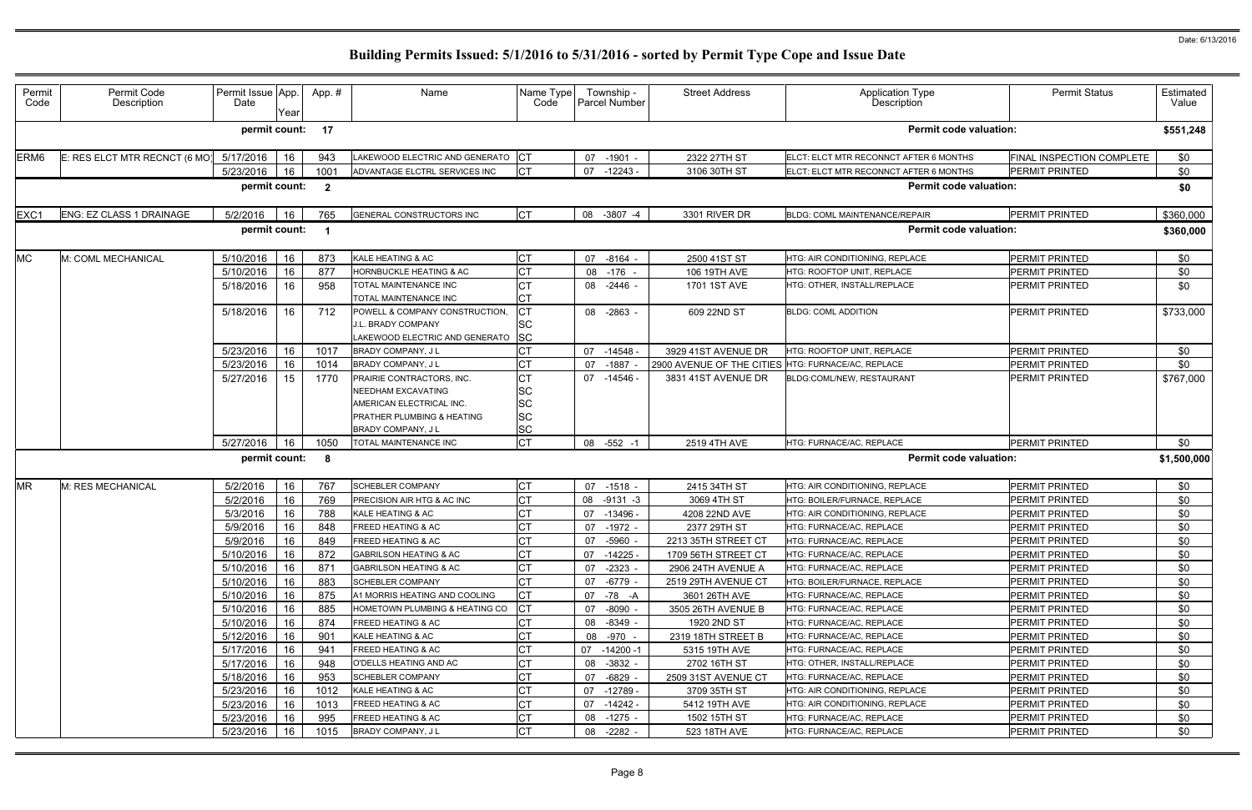| Permit<br>Code   | Permit Code<br>Description    | Permit Issue App.<br>Date | Year             | App.#                   | Name                                                              | Name Type<br>Code      |    | Township -<br>Parcel Number | <b>Street Address</b>     | <b>Application Type</b><br>Description | <b>Permit Status</b>      | Estimated<br>Value |
|------------------|-------------------------------|---------------------------|------------------|-------------------------|-------------------------------------------------------------------|------------------------|----|-----------------------------|---------------------------|----------------------------------------|---------------------------|--------------------|
|                  |                               | permit count:             |                  | 17                      |                                                                   |                        |    |                             |                           | <b>Permit code valuation:</b>          |                           | \$551,248          |
| ERM <sub>6</sub> | E: RES ELCT MTR RECNCT (6 MO) | 5/17/2016                 | 16               | 943                     | LAKEWOOD ELECTRIC AND GENERATO CT                                 |                        | 07 | $-1901 -$                   | 2322 27TH ST              | ELCT: ELCT MTR RECONNCT AFTER 6 MONTHS | FINAL INSPECTION COMPLETE | \$0                |
|                  |                               | 5/23/2016                 | 16               | 1001                    | ADVANTAGE ELCTRL SERVICES INC                                     | Iст                    | 07 | $-12243-$                   | 3106 30TH ST              | ELCT: ELCT MTR RECONNCT AFTER 6 MONTHS | <b>PERMIT PRINTED</b>     | \$0                |
|                  |                               | permit count:             |                  | $\overline{\mathbf{2}}$ |                                                                   |                        |    |                             |                           | <b>Permit code valuation:</b>          |                           | \$0                |
| EXC1             | ENG: EZ CLASS 1 DRAINAGE      | 5/2/2016                  | 16               | 765                     | <b>GENERAL CONSTRUCTORS INC</b>                                   | <b>CT</b>              |    | 08 -3807 -4                 | 3301 RIVER DR             | <b>BLDG: COML MAINTENANCE/REPAIR</b>   | <b>PERMIT PRINTED</b>     | \$360,000          |
|                  |                               | permit count:             |                  | - 1                     |                                                                   |                        |    |                             |                           | <b>Permit code valuation:</b>          |                           | \$360,000          |
| <b>MC</b>        | M: COML MECHANICAL            | 5/10/2016                 | 16               | 873                     | KALE HEATING & AC                                                 | <b>CT</b>              | 07 | $-8164$                     | 2500 41ST ST              | HTG: AIR CONDITIONING, REPLACE         | <b>PERMIT PRINTED</b>     | \$0                |
|                  |                               | 5/10/2016                 | 16               | 877                     | <b>HORNBUCKLE HEATING &amp; AC</b>                                |                        | 08 | -176                        | 106 19TH AVE              | HTG: ROOFTOP UNIT, REPLACE             | PERMIT PRINTED            | \$0                |
|                  |                               | 5/18/2016                 | 16               | 958                     | TOTAL MAINTENANCE INC                                             | <b>CT</b>              |    | 08 -2446 -                  | 1701 1ST AVE              | HTG: OTHER, INSTALL/REPLACE            | <b>PERMIT PRINTED</b>     | \$0                |
|                  |                               |                           |                  |                         | TOTAL MAINTENANCE INC                                             | Iст                    |    |                             |                           |                                        |                           |                    |
|                  |                               | 5/18/2016                 | 16               | 712                     | POWELL & COMPANY CONSTRUCTION,                                    | lст                    |    | 08 -2863 -                  | 609 22ND ST               | <b>BLDG: COML ADDITION</b>             | <b>PERMIT PRINTED</b>     | \$733,000          |
|                  |                               |                           |                  |                         | J.L. BRADY COMPANY                                                | <b>SC</b>              |    |                             |                           |                                        |                           |                    |
|                  |                               |                           |                  |                         | LAKEWOOD ELECTRIC AND GENERATO                                    | <b>SC</b>              |    |                             |                           |                                        |                           |                    |
|                  |                               | 5/23/2016                 | 16               | 1017                    | <b>BRADY COMPANY, JL</b>                                          |                        | 07 | $-14548 -$                  | 3929 41ST AVENUE DR       | <b>HTG: ROOFTOP UNIT, REPLACE</b>      | <b>PERMIT PRINTED</b>     | \$0                |
|                  |                               | 5/23/2016                 | 16               | 1014                    | <b>BRADY COMPANY, JL</b>                                          |                        | 07 | $-1887$                     | 2900 AVENUE OF THE CITIES | HTG: FURNACE/AC, REPLACE               | <b>PERMIT PRINTED</b>     | \$0                |
|                  |                               | 5/27/2016                 | 15 <sub>15</sub> | 1770                    | PRAIRIE CONTRACTORS, INC.                                         | <b>CT</b>              | 07 | $-14546$ -                  | 3831 41ST AVENUE DR       | BLDG:COML/NEW, RESTAURANT              | <b>PERMIT PRINTED</b>     | \$767,000          |
|                  |                               |                           |                  |                         | <b>NEEDHAM EXCAVATING</b>                                         | <b>SC</b>              |    |                             |                           |                                        |                           |                    |
|                  |                               |                           |                  |                         | AMERICAN ELECTRICAL INC.                                          | <b>SC</b>              |    |                             |                           |                                        |                           |                    |
|                  |                               |                           |                  |                         | <b>PRATHER PLUMBING &amp; HEATING</b><br><b>BRADY COMPANY, JL</b> | <b>SC</b><br><b>SC</b> |    |                             |                           |                                        |                           |                    |
|                  |                               | 5/27/2016                 | 16               | 1050                    | TOTAL MAINTENANCE INC                                             | <b>CT</b>              | 08 | $-552 - 1$                  | 2519 4TH AVE              | HTG: FURNACE/AC, REPLACE               | <b>PERMIT PRINTED</b>     | \$0                |
|                  |                               | permit count:             |                  |                         |                                                                   |                        |    |                             |                           | <b>Permit code valuation:</b>          |                           |                    |
|                  |                               |                           |                  | 8                       |                                                                   |                        |    |                             |                           |                                        |                           | \$1,500,000        |
| <b>MR</b>        | M: RES MECHANICAL             | 5/2/2016                  | 16               | 767                     | <b>SCHEBLER COMPANY</b>                                           | Iст                    | 07 | $-1518 -$                   | 2415 34TH ST              | HTG: AIR CONDITIONING, REPLACE         | <b>PERMIT PRINTED</b>     | \$0                |
|                  |                               | 5/2/2016                  | 16               | 769                     | PRECISION AIR HTG & AC INC                                        | <b>CT</b>              | 08 | $-9131 - 3$                 | 3069 4TH ST               | HTG: BOILER/FURNACE, REPLACE           | <b>PERMIT PRINTED</b>     | \$0                |
|                  |                               | 5/3/2016                  | 16               | 788                     | <b>KALE HEATING &amp; AC</b>                                      |                        | 07 | $-13496 -$                  | 4208 22ND AVE             | HTG: AIR CONDITIONING, REPLACE         | PERMIT PRINTED            | \$0                |
|                  |                               | 5/9/2016                  | 16               | 848                     | <b>FREED HEATING &amp; AC</b>                                     | <b>CT</b>              | 07 | $-1972 -$                   | 2377 29TH ST              | HTG: FURNACE/AC, REPLACE               | <b>PERMIT PRINTED</b>     | \$0                |
|                  |                               | 5/9/2016 16               |                  | 849                     | <b>FREED HEATING &amp; AC</b>                                     | IСT                    |    | 07 -5960 -                  | 2213 35TH STREET CT       | HTG: FURNACE/AC, REPLACE               | PERMIT PRINTED            | \$0                |
|                  |                               | 5/10/2016                 | 16               | 872                     | <b>GABRILSON HEATING &amp; AC</b>                                 | СT                     | 07 | -14225 -                    | 1709 56TH STREET CT       | HTG: FURNACE/AC, REPLACE               | <b>PERMIT PRINTED</b>     | \$0                |
|                  |                               | 5/10/2016                 | 16               | 871                     | <b>GABRILSON HEATING &amp; AC</b>                                 | <b>CT</b>              | 07 | $-2323 -$                   | 2906 24TH AVENUE A        | HTG: FURNACE/AC, REPLACE               | <b>PERMIT PRINTED</b>     | \$0                |
|                  |                               | 5/10/2016                 | 16               | 883                     | <b>SCHEBLER COMPANY</b>                                           |                        | 07 | -6779 -                     | 2519 29TH AVENUE CT       | HTG: BOILER/FURNACE, REPLACE           | <b>PERMIT PRINTED</b>     | \$0                |
|                  |                               | 5/10/2016                 | 16               | 875                     | A1 MORRIS HEATING AND COOLING                                     | Iст                    | 07 | -78 -A                      | 3601 26TH AVE             | HTG: FURNACE/AC, REPLACE               | <b>PERMIT PRINTED</b>     | \$0                |
|                  |                               | 5/10/2016                 | 16               | 885                     | HOMETOWN PLUMBING & HEATING CO                                    |                        | 07 | -8090 -                     | 3505 26TH AVENUE B        | HTG: FURNACE/AC, REPLACE               | <b>PERMIT PRINTED</b>     | \$0                |
|                  |                               | 5/10/2016                 | 16               | 874                     | <b>FREED HEATING &amp; AC</b>                                     | <b>CT</b>              |    | 08 -8349 -                  | 1920 2ND ST               | HTG: FURNACE/AC, REPLACE               | <b>PERMIT PRINTED</b>     | \$0                |
|                  |                               | 5/12/2016                 | 16               | 901                     | <b>KALE HEATING &amp; AC</b>                                      | <b>CT</b>              |    | 08 -970 -                   | 2319 18TH STREET B        | HTG: FURNACE/AC, REPLACE               | <b>PERMIT PRINTED</b>     | \$0                |
|                  |                               | 5/17/2016                 | 16               | 941                     | <b>FREED HEATING &amp; AC</b>                                     | СT                     | 07 | -14200 -1                   | 5315 19TH AVE             | HTG: FURNACE/AC, REPLACE               | <b>PERMIT PRINTED</b>     | \$0                |
|                  |                               | 5/17/2016                 | 16               | 948                     | O'DELLS HEATING AND AC                                            | <b>CT</b>              | 08 | $-3832 -$                   | 2702 16TH ST              | HTG: OTHER. INSTALL/REPLACE            | <b>PERMIT PRINTED</b>     | \$0                |
|                  |                               | 5/18/2016                 | 16               | 953                     | <b>SCHEBLER COMPANY</b>                                           | IСТ                    |    | 07 -6829 -                  | 2509 31ST AVENUE CT       | HTG: FURNACE/AC, REPLACE               | <b>PERMIT PRINTED</b>     | \$0                |
|                  |                               | 5/23/2016                 | 16               | 1012                    | KALE HEATING & AC                                                 | Iст                    | 07 | -12789 -                    | 3709 35TH ST              | HTG: AIR CONDITIONING, REPLACE         | PERMIT PRINTED            | \$0                |
|                  |                               | 5/23/2016                 | 16               | 1013                    | <b>FREED HEATING &amp; AC</b>                                     | <b>CT</b>              |    | 07 -14242 -                 | 5412 19TH AVE             | HTG: AIR CONDITIONING, REPLACE         | PERMIT PRINTED            | \$0                |
|                  |                               | 5/23/2016                 | 16               | 995                     | <b>FREED HEATING &amp; AC</b>                                     | <b>CT</b>              |    | 08 -1275 -                  | 1502 15TH ST              | HTG: FURNACE/AC, REPLACE               | PERMIT PRINTED            | \$0                |
|                  |                               | 5/23/2016                 | 16               | 1015                    | BRADY COMPANY, J L                                                | IСТ                    |    | 08 -2282 -                  | 523 18TH AVE              | HTG: FURNACE/AC, REPLACE               | PERMIT PRINTED            | \$0                |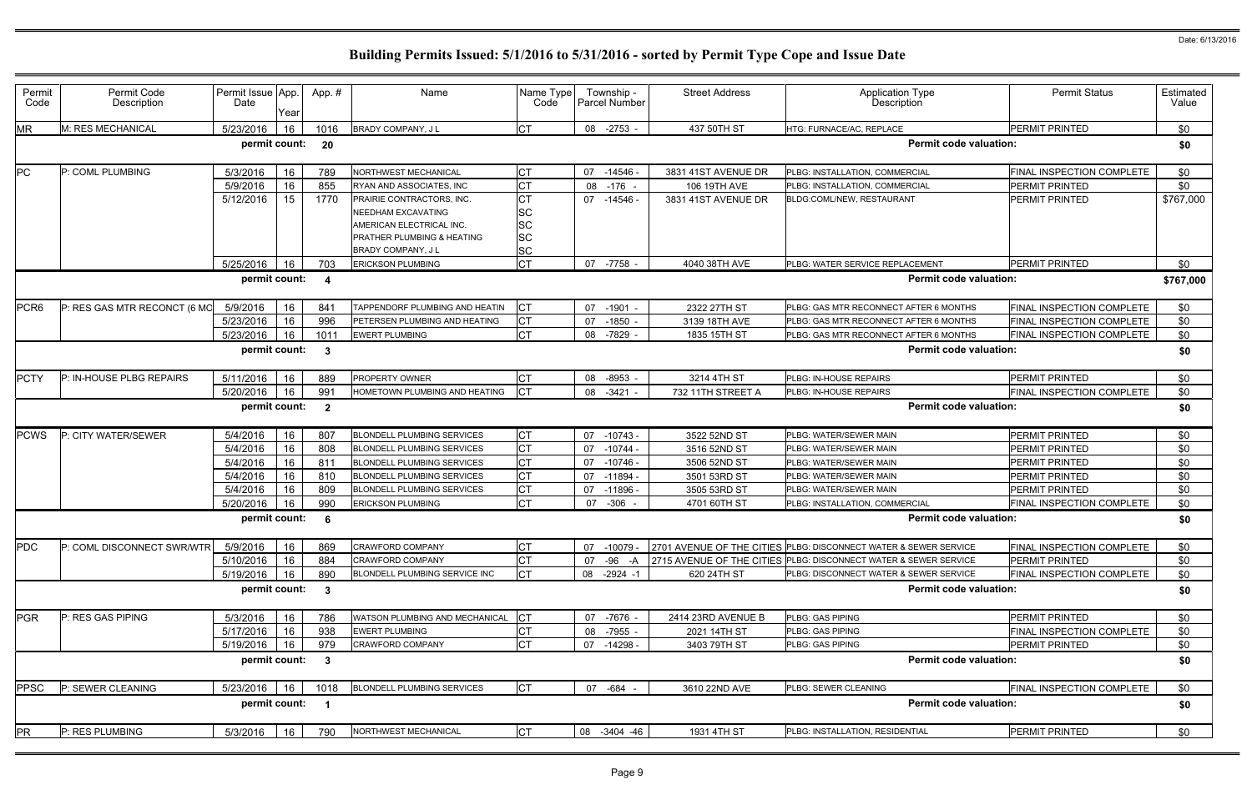| M: RES MECHANICAL<br>5/23/2016<br>СT<br>08 -2753 -<br>437 50TH ST<br>PERMIT PRINTED<br>\$0<br>1016<br>BRADY COMPANY, J L<br>HTG: FURNACE/AC, REPLACE<br>16<br><b>Permit code valuation:</b><br>permit count:<br>20<br>\$0<br><b>CT</b><br>P: COML PLUMBING<br>5/3/2016<br>789<br>NORTHWEST MECHANICAL<br>PLBG: INSTALLATION, COMMERCIAL<br>FINAL INSPECTION COMPLETE<br>\$0<br>16<br>07<br>-14546 -<br>3831 41ST AVENUE DR<br>СT<br>5/9/2016<br>16<br>08<br>$-176 -$<br>\$0<br>855<br>RYAN AND ASSOCIATES, INC<br>106 19TH AVE<br>PLBG: INSTALLATION, COMMERCIAL<br><b>PERMIT PRINTED</b><br>СT<br>5/12/2016<br>-14546 -<br><b>PERMIT PRINTED</b><br>\$767,000<br>15<br>1770<br>PRAIRIE CONTRACTORS. INC.<br>07<br>3831 41ST AVENUE DR<br>BLDG:COML/NEW, RESTAURANT<br><b>SC</b><br><b>NEEDHAM EXCAVATING</b><br>SC<br>AMERICAN ELECTRICAL INC.<br>SC<br>PRATHER PLUMBING & HEATING<br>SC<br><b>BRADY COMPANY, JL</b><br><b>CT</b><br>5/25/2016<br>$-7758$<br>4040 38TH AVE<br><b>PERMIT PRINTED</b><br>\$0<br>703<br>07<br>PLBG: WATER SERVICE REPLACEMENT<br>16<br><b>ERICKSON PLUMBING</b><br>permit count:<br><b>Permit code valuation:</b><br>\$767,000<br>-4<br><b>CT</b><br>FINAL INSPECTION COMPLETE<br>P: RES GAS MTR RECONCT (6 MO<br>5/9/2016<br>TAPPENDORF PLUMBING AND HEATIN<br>$-1901 -$<br>2322 27TH ST<br>PLBG: GAS MTR RECONNECT AFTER 6 MONTHS<br>\$0<br>16<br>841<br>07<br>СT<br>5/23/2016<br>16<br>996<br>$-1850$<br>3139 18TH AVE<br>FINAL INSPECTION COMPLETE<br>\$0<br>PETERSEN PLUMBING AND HEATING<br>07<br>PLBG: GAS MTR RECONNECT AFTER 6 MONTHS<br><b>ICT</b><br>5/23/2016<br>\$0<br>1011<br><b>EWERT PLUMBING</b><br>-7829<br>PLBG: GAS MTR RECONNECT AFTER 6 MONTHS<br>FINAL INSPECTION COMPLETE<br>16<br>08<br>1835 15TH ST<br>permit count:<br><b>Permit code valuation:</b><br>\$0<br>-3<br><b>CT</b><br>PERMIT PRINTED<br>P: IN-HOUSE PLBG REPAIRS<br>889<br>PROPERTY OWNER<br>$-8953$<br>3214 4TH ST<br>\$0<br>5/11/2016<br>16<br>08<br>PLBG: IN-HOUSE REPAIRS<br><b>CT</b><br>5/20/2016<br>16<br>991<br>HOMETOWN PLUMBING AND HEATING<br>FINAL INSPECTION COMPLETE<br>\$0<br>08<br>$-3421$<br>732 11TH STREET A<br>PLBG: IN-HOUSE REPAIRS<br>permit count:<br><b>Permit code valuation:</b><br>\$0<br>$\overline{2}$<br><b>PERMIT PRINTED</b><br>P: CITY WATER/SEWER<br>5/4/2016<br>807<br><b>BLONDELL PLUMBING SERVICES</b><br>СT<br>$-10743 -$<br>3522 52ND ST<br>PLBG: WATER/SEWER MAIN<br>\$0<br>16<br>07<br>CT<br>16<br>808<br>\$0<br>5/4/2016<br><b>BLONDELL PLUMBING SERVICES</b><br>$-10744$<br><b>PLBG: WATER/SEWER MAIN</b><br><b>PERMIT PRINTED</b><br>07<br>3516 52ND ST<br>СT<br><b>PERMIT PRINTED</b><br>5/4/2016<br>16<br>811<br>07<br>$-10746 -$<br>\$0<br><b>BLONDELL PLUMBING SERVICES</b><br>3506 52ND ST<br>PLBG: WATER/SEWER MAIN<br>CT<br>\$0<br>5/4/2016<br><b>BLONDELL PLUMBING SERVICES</b><br>07<br>3501 53RD ST<br>PLBG: WATER/SEWER MAIN<br><b>PERMIT PRINTED</b><br>16<br>810<br>-11894<br>СT<br>\$0<br>5/4/2016<br>809<br>07<br><b>PERMIT PRINTED</b><br>16<br>$-11896$<br>3505 53RD ST<br><b>BLONDELL PLUMBING SERVICES</b><br>PLBG: WATER/SEWER MAIN<br><b>CT</b><br>5/20/2016<br>990<br>$-306$<br>FINAL INSPECTION COMPLETE<br>\$0<br><b>ERICKSON PLUMBING</b><br>07<br>4701 60TH ST<br>PLBG: INSTALLATION, COMMERCIAL<br>16<br><b>Permit code valuation:</b><br>permit count:<br>\$0<br>-6<br>Iст<br>16<br>P: COML DISCONNECT SWR/WTR<br>5/9/2016<br>2701 AVENUE OF THE CITIES PLBG: DISCONNECT WATER & SEWER SERVICE<br>FINAL INSPECTION COMPLETE<br>\$0<br>869<br><b>CRAWFORD COMPANY</b><br>07 -10079 -<br>СT<br>5/10/2016<br>16<br>884<br><b>CRAWFORD COMPANY</b><br>-96 -A<br>2715 AVENUE OF THE CITIES PLBG: DISCONNECT WATER & SEWER SERVICE<br>PERMIT PRINTED<br>\$0<br>07<br>lст<br>5/19/2016<br>FINAL INSPECTION COMPLETE<br>16<br>890<br>BLONDELL PLUMBING SERVICE INC<br>08<br>$-2924 - 1$<br>620 24TH ST<br>\$0<br>PLBG: DISCONNECT WATER & SEWER SERVICE<br>permit count:<br><b>Permit code valuation:</b><br>\$0<br>$\mathbf{3}$<br><b>ICT</b><br><b>PGR</b><br>\$0<br>P: RES GAS PIPING<br>5/3/2016<br>PERMIT PRINTED<br>16<br>786<br>WATSON PLUMBING AND MECHANICAL<br>07 -7676 -<br>2414 23RD AVENUE B<br>PLBG: GAS PIPING<br><b>CT</b><br>5/17/2016<br>938<br>FINAL INSPECTION COMPLETE<br>\$0<br>16<br>08<br>-7955 -<br>2021 14TH ST<br><b>EWERT PLUMBING</b><br>PLBG: GAS PIPING<br>C <sub>T</sub><br>5/19/2016<br>979<br>\$0<br>16<br><b>CRAWFORD COMPANY</b><br>PLBG: GAS PIPING<br>PERMIT PRINTED<br>07<br>-14298 -<br>3403 79TH ST<br><b>Permit code valuation:</b><br>permit count:<br>\$0<br>$\overline{\mathbf{3}}$<br><b>CT</b><br>P: SEWER CLEANING<br>5/23/2016<br>07 - 684 -<br>FINAL INSPECTION COMPLETE<br>\$0<br>16<br><b>BLONDELL PLUMBING SERVICES</b><br>3610 22ND AVE<br>PLBG: SEWER CLEANING<br>1018<br><b>Permit code valuation:</b><br>permit count:<br>\$0<br><b>CT</b><br>P: RES PLUMBING<br>08 -3404 -46<br>PERMIT PRINTED<br>5/3/2016<br>16<br>790<br>NORTHWEST MECHANICAL<br>1931 4TH ST<br>\$0<br>PLBG: INSTALLATION, RESIDENTIAL | Permit<br>Code   | Permit Code<br>Description | Permit Issue App.<br>Date | Year | App.# | Name | Name Type<br>Code | Township -<br>Parcel Number | <b>Street Address</b> | <b>Application Type</b><br>Description | <b>Permit Status</b> | Estimated<br>Value |
|----------------------------------------------------------------------------------------------------------------------------------------------------------------------------------------------------------------------------------------------------------------------------------------------------------------------------------------------------------------------------------------------------------------------------------------------------------------------------------------------------------------------------------------------------------------------------------------------------------------------------------------------------------------------------------------------------------------------------------------------------------------------------------------------------------------------------------------------------------------------------------------------------------------------------------------------------------------------------------------------------------------------------------------------------------------------------------------------------------------------------------------------------------------------------------------------------------------------------------------------------------------------------------------------------------------------------------------------------------------------------------------------------------------------------------------------------------------------------------------------------------------------------------------------------------------------------------------------------------------------------------------------------------------------------------------------------------------------------------------------------------------------------------------------------------------------------------------------------------------------------------------------------------------------------------------------------------------------------------------------------------------------------------------------------------------------------------------------------------------------------------------------------------------------------------------------------------------------------------------------------------------------------------------------------------------------------------------------------------------------------------------------------------------------------------------------------------------------------------------------------------------------------------------------------------------------------------------------------------------------------------------------------------------------------------------------------------------------------------------------------------------------------------------------------------------------------------------------------------------------------------------------------------------------------------------------------------------------------------------------------------------------------------------------------------------------------------------------------------------------------------------------------------------------------------------------------------------------------------------------------------------------------------------------------------------------------------------------------------------------------------------------------------------------------------------------------------------------------------------------------------------------------------------------------------------------------------------------------------------------------------------------------------------------------------------------------------------------------------------------------------------------------------------------------------------------------------------------------------------------------------------------------------------------------------------------------------------------------------------------------------------------------------------------------------------------------------------------------------------------------------------------------------------------------------------------------------------------------------------------------------------------------------------------------------------------------------------------------------------------------------------------------------------------------------------------------------------------------------------------------------------------------------------------------------------------------------------------------------------------------------------------------------------------------------------------------------------------------------------------------------------------------------------------------------------------------------------------------------------------------------------------------------------------------------------------------------------------------------------------------------------------------------------------------------|------------------|----------------------------|---------------------------|------|-------|------|-------------------|-----------------------------|-----------------------|----------------------------------------|----------------------|--------------------|
|                                                                                                                                                                                                                                                                                                                                                                                                                                                                                                                                                                                                                                                                                                                                                                                                                                                                                                                                                                                                                                                                                                                                                                                                                                                                                                                                                                                                                                                                                                                                                                                                                                                                                                                                                                                                                                                                                                                                                                                                                                                                                                                                                                                                                                                                                                                                                                                                                                                                                                                                                                                                                                                                                                                                                                                                                                                                                                                                                                                                                                                                                                                                                                                                                                                                                                                                                                                                                                                                                                                                                                                                                                                                                                                                                                                                                                                                                                                                                                                                                                                                                                                                                                                                                                                                                                                                                                                                                                                                                                                                                                                                                                                                                                                                                                                                                                                                                                                                                                                                                                                          | <b>MR</b>        |                            |                           |      |       |      |                   |                             |                       |                                        |                      |                    |
|                                                                                                                                                                                                                                                                                                                                                                                                                                                                                                                                                                                                                                                                                                                                                                                                                                                                                                                                                                                                                                                                                                                                                                                                                                                                                                                                                                                                                                                                                                                                                                                                                                                                                                                                                                                                                                                                                                                                                                                                                                                                                                                                                                                                                                                                                                                                                                                                                                                                                                                                                                                                                                                                                                                                                                                                                                                                                                                                                                                                                                                                                                                                                                                                                                                                                                                                                                                                                                                                                                                                                                                                                                                                                                                                                                                                                                                                                                                                                                                                                                                                                                                                                                                                                                                                                                                                                                                                                                                                                                                                                                                                                                                                                                                                                                                                                                                                                                                                                                                                                                                          |                  |                            |                           |      |       |      |                   |                             |                       |                                        |                      |                    |
|                                                                                                                                                                                                                                                                                                                                                                                                                                                                                                                                                                                                                                                                                                                                                                                                                                                                                                                                                                                                                                                                                                                                                                                                                                                                                                                                                                                                                                                                                                                                                                                                                                                                                                                                                                                                                                                                                                                                                                                                                                                                                                                                                                                                                                                                                                                                                                                                                                                                                                                                                                                                                                                                                                                                                                                                                                                                                                                                                                                                                                                                                                                                                                                                                                                                                                                                                                                                                                                                                                                                                                                                                                                                                                                                                                                                                                                                                                                                                                                                                                                                                                                                                                                                                                                                                                                                                                                                                                                                                                                                                                                                                                                                                                                                                                                                                                                                                                                                                                                                                                                          | PC.              |                            |                           |      |       |      |                   |                             |                       |                                        |                      |                    |
|                                                                                                                                                                                                                                                                                                                                                                                                                                                                                                                                                                                                                                                                                                                                                                                                                                                                                                                                                                                                                                                                                                                                                                                                                                                                                                                                                                                                                                                                                                                                                                                                                                                                                                                                                                                                                                                                                                                                                                                                                                                                                                                                                                                                                                                                                                                                                                                                                                                                                                                                                                                                                                                                                                                                                                                                                                                                                                                                                                                                                                                                                                                                                                                                                                                                                                                                                                                                                                                                                                                                                                                                                                                                                                                                                                                                                                                                                                                                                                                                                                                                                                                                                                                                                                                                                                                                                                                                                                                                                                                                                                                                                                                                                                                                                                                                                                                                                                                                                                                                                                                          |                  |                            |                           |      |       |      |                   |                             |                       |                                        |                      |                    |
|                                                                                                                                                                                                                                                                                                                                                                                                                                                                                                                                                                                                                                                                                                                                                                                                                                                                                                                                                                                                                                                                                                                                                                                                                                                                                                                                                                                                                                                                                                                                                                                                                                                                                                                                                                                                                                                                                                                                                                                                                                                                                                                                                                                                                                                                                                                                                                                                                                                                                                                                                                                                                                                                                                                                                                                                                                                                                                                                                                                                                                                                                                                                                                                                                                                                                                                                                                                                                                                                                                                                                                                                                                                                                                                                                                                                                                                                                                                                                                                                                                                                                                                                                                                                                                                                                                                                                                                                                                                                                                                                                                                                                                                                                                                                                                                                                                                                                                                                                                                                                                                          |                  |                            |                           |      |       |      |                   |                             |                       |                                        |                      |                    |
|                                                                                                                                                                                                                                                                                                                                                                                                                                                                                                                                                                                                                                                                                                                                                                                                                                                                                                                                                                                                                                                                                                                                                                                                                                                                                                                                                                                                                                                                                                                                                                                                                                                                                                                                                                                                                                                                                                                                                                                                                                                                                                                                                                                                                                                                                                                                                                                                                                                                                                                                                                                                                                                                                                                                                                                                                                                                                                                                                                                                                                                                                                                                                                                                                                                                                                                                                                                                                                                                                                                                                                                                                                                                                                                                                                                                                                                                                                                                                                                                                                                                                                                                                                                                                                                                                                                                                                                                                                                                                                                                                                                                                                                                                                                                                                                                                                                                                                                                                                                                                                                          |                  |                            |                           |      |       |      |                   |                             |                       |                                        |                      |                    |
|                                                                                                                                                                                                                                                                                                                                                                                                                                                                                                                                                                                                                                                                                                                                                                                                                                                                                                                                                                                                                                                                                                                                                                                                                                                                                                                                                                                                                                                                                                                                                                                                                                                                                                                                                                                                                                                                                                                                                                                                                                                                                                                                                                                                                                                                                                                                                                                                                                                                                                                                                                                                                                                                                                                                                                                                                                                                                                                                                                                                                                                                                                                                                                                                                                                                                                                                                                                                                                                                                                                                                                                                                                                                                                                                                                                                                                                                                                                                                                                                                                                                                                                                                                                                                                                                                                                                                                                                                                                                                                                                                                                                                                                                                                                                                                                                                                                                                                                                                                                                                                                          |                  |                            |                           |      |       |      |                   |                             |                       |                                        |                      |                    |
|                                                                                                                                                                                                                                                                                                                                                                                                                                                                                                                                                                                                                                                                                                                                                                                                                                                                                                                                                                                                                                                                                                                                                                                                                                                                                                                                                                                                                                                                                                                                                                                                                                                                                                                                                                                                                                                                                                                                                                                                                                                                                                                                                                                                                                                                                                                                                                                                                                                                                                                                                                                                                                                                                                                                                                                                                                                                                                                                                                                                                                                                                                                                                                                                                                                                                                                                                                                                                                                                                                                                                                                                                                                                                                                                                                                                                                                                                                                                                                                                                                                                                                                                                                                                                                                                                                                                                                                                                                                                                                                                                                                                                                                                                                                                                                                                                                                                                                                                                                                                                                                          |                  |                            |                           |      |       |      |                   |                             |                       |                                        |                      |                    |
|                                                                                                                                                                                                                                                                                                                                                                                                                                                                                                                                                                                                                                                                                                                                                                                                                                                                                                                                                                                                                                                                                                                                                                                                                                                                                                                                                                                                                                                                                                                                                                                                                                                                                                                                                                                                                                                                                                                                                                                                                                                                                                                                                                                                                                                                                                                                                                                                                                                                                                                                                                                                                                                                                                                                                                                                                                                                                                                                                                                                                                                                                                                                                                                                                                                                                                                                                                                                                                                                                                                                                                                                                                                                                                                                                                                                                                                                                                                                                                                                                                                                                                                                                                                                                                                                                                                                                                                                                                                                                                                                                                                                                                                                                                                                                                                                                                                                                                                                                                                                                                                          |                  |                            |                           |      |       |      |                   |                             |                       |                                        |                      |                    |
|                                                                                                                                                                                                                                                                                                                                                                                                                                                                                                                                                                                                                                                                                                                                                                                                                                                                                                                                                                                                                                                                                                                                                                                                                                                                                                                                                                                                                                                                                                                                                                                                                                                                                                                                                                                                                                                                                                                                                                                                                                                                                                                                                                                                                                                                                                                                                                                                                                                                                                                                                                                                                                                                                                                                                                                                                                                                                                                                                                                                                                                                                                                                                                                                                                                                                                                                                                                                                                                                                                                                                                                                                                                                                                                                                                                                                                                                                                                                                                                                                                                                                                                                                                                                                                                                                                                                                                                                                                                                                                                                                                                                                                                                                                                                                                                                                                                                                                                                                                                                                                                          |                  |                            |                           |      |       |      |                   |                             |                       |                                        |                      |                    |
|                                                                                                                                                                                                                                                                                                                                                                                                                                                                                                                                                                                                                                                                                                                                                                                                                                                                                                                                                                                                                                                                                                                                                                                                                                                                                                                                                                                                                                                                                                                                                                                                                                                                                                                                                                                                                                                                                                                                                                                                                                                                                                                                                                                                                                                                                                                                                                                                                                                                                                                                                                                                                                                                                                                                                                                                                                                                                                                                                                                                                                                                                                                                                                                                                                                                                                                                                                                                                                                                                                                                                                                                                                                                                                                                                                                                                                                                                                                                                                                                                                                                                                                                                                                                                                                                                                                                                                                                                                                                                                                                                                                                                                                                                                                                                                                                                                                                                                                                                                                                                                                          |                  |                            |                           |      |       |      |                   |                             |                       |                                        |                      |                    |
|                                                                                                                                                                                                                                                                                                                                                                                                                                                                                                                                                                                                                                                                                                                                                                                                                                                                                                                                                                                                                                                                                                                                                                                                                                                                                                                                                                                                                                                                                                                                                                                                                                                                                                                                                                                                                                                                                                                                                                                                                                                                                                                                                                                                                                                                                                                                                                                                                                                                                                                                                                                                                                                                                                                                                                                                                                                                                                                                                                                                                                                                                                                                                                                                                                                                                                                                                                                                                                                                                                                                                                                                                                                                                                                                                                                                                                                                                                                                                                                                                                                                                                                                                                                                                                                                                                                                                                                                                                                                                                                                                                                                                                                                                                                                                                                                                                                                                                                                                                                                                                                          | PCR <sub>6</sub> |                            |                           |      |       |      |                   |                             |                       |                                        |                      |                    |
|                                                                                                                                                                                                                                                                                                                                                                                                                                                                                                                                                                                                                                                                                                                                                                                                                                                                                                                                                                                                                                                                                                                                                                                                                                                                                                                                                                                                                                                                                                                                                                                                                                                                                                                                                                                                                                                                                                                                                                                                                                                                                                                                                                                                                                                                                                                                                                                                                                                                                                                                                                                                                                                                                                                                                                                                                                                                                                                                                                                                                                                                                                                                                                                                                                                                                                                                                                                                                                                                                                                                                                                                                                                                                                                                                                                                                                                                                                                                                                                                                                                                                                                                                                                                                                                                                                                                                                                                                                                                                                                                                                                                                                                                                                                                                                                                                                                                                                                                                                                                                                                          |                  |                            |                           |      |       |      |                   |                             |                       |                                        |                      |                    |
|                                                                                                                                                                                                                                                                                                                                                                                                                                                                                                                                                                                                                                                                                                                                                                                                                                                                                                                                                                                                                                                                                                                                                                                                                                                                                                                                                                                                                                                                                                                                                                                                                                                                                                                                                                                                                                                                                                                                                                                                                                                                                                                                                                                                                                                                                                                                                                                                                                                                                                                                                                                                                                                                                                                                                                                                                                                                                                                                                                                                                                                                                                                                                                                                                                                                                                                                                                                                                                                                                                                                                                                                                                                                                                                                                                                                                                                                                                                                                                                                                                                                                                                                                                                                                                                                                                                                                                                                                                                                                                                                                                                                                                                                                                                                                                                                                                                                                                                                                                                                                                                          |                  |                            |                           |      |       |      |                   |                             |                       |                                        |                      |                    |
|                                                                                                                                                                                                                                                                                                                                                                                                                                                                                                                                                                                                                                                                                                                                                                                                                                                                                                                                                                                                                                                                                                                                                                                                                                                                                                                                                                                                                                                                                                                                                                                                                                                                                                                                                                                                                                                                                                                                                                                                                                                                                                                                                                                                                                                                                                                                                                                                                                                                                                                                                                                                                                                                                                                                                                                                                                                                                                                                                                                                                                                                                                                                                                                                                                                                                                                                                                                                                                                                                                                                                                                                                                                                                                                                                                                                                                                                                                                                                                                                                                                                                                                                                                                                                                                                                                                                                                                                                                                                                                                                                                                                                                                                                                                                                                                                                                                                                                                                                                                                                                                          |                  |                            |                           |      |       |      |                   |                             |                       |                                        |                      |                    |
|                                                                                                                                                                                                                                                                                                                                                                                                                                                                                                                                                                                                                                                                                                                                                                                                                                                                                                                                                                                                                                                                                                                                                                                                                                                                                                                                                                                                                                                                                                                                                                                                                                                                                                                                                                                                                                                                                                                                                                                                                                                                                                                                                                                                                                                                                                                                                                                                                                                                                                                                                                                                                                                                                                                                                                                                                                                                                                                                                                                                                                                                                                                                                                                                                                                                                                                                                                                                                                                                                                                                                                                                                                                                                                                                                                                                                                                                                                                                                                                                                                                                                                                                                                                                                                                                                                                                                                                                                                                                                                                                                                                                                                                                                                                                                                                                                                                                                                                                                                                                                                                          | <b>PCTY</b>      |                            |                           |      |       |      |                   |                             |                       |                                        |                      |                    |
|                                                                                                                                                                                                                                                                                                                                                                                                                                                                                                                                                                                                                                                                                                                                                                                                                                                                                                                                                                                                                                                                                                                                                                                                                                                                                                                                                                                                                                                                                                                                                                                                                                                                                                                                                                                                                                                                                                                                                                                                                                                                                                                                                                                                                                                                                                                                                                                                                                                                                                                                                                                                                                                                                                                                                                                                                                                                                                                                                                                                                                                                                                                                                                                                                                                                                                                                                                                                                                                                                                                                                                                                                                                                                                                                                                                                                                                                                                                                                                                                                                                                                                                                                                                                                                                                                                                                                                                                                                                                                                                                                                                                                                                                                                                                                                                                                                                                                                                                                                                                                                                          |                  |                            |                           |      |       |      |                   |                             |                       |                                        |                      |                    |
|                                                                                                                                                                                                                                                                                                                                                                                                                                                                                                                                                                                                                                                                                                                                                                                                                                                                                                                                                                                                                                                                                                                                                                                                                                                                                                                                                                                                                                                                                                                                                                                                                                                                                                                                                                                                                                                                                                                                                                                                                                                                                                                                                                                                                                                                                                                                                                                                                                                                                                                                                                                                                                                                                                                                                                                                                                                                                                                                                                                                                                                                                                                                                                                                                                                                                                                                                                                                                                                                                                                                                                                                                                                                                                                                                                                                                                                                                                                                                                                                                                                                                                                                                                                                                                                                                                                                                                                                                                                                                                                                                                                                                                                                                                                                                                                                                                                                                                                                                                                                                                                          |                  |                            |                           |      |       |      |                   |                             |                       |                                        |                      |                    |
|                                                                                                                                                                                                                                                                                                                                                                                                                                                                                                                                                                                                                                                                                                                                                                                                                                                                                                                                                                                                                                                                                                                                                                                                                                                                                                                                                                                                                                                                                                                                                                                                                                                                                                                                                                                                                                                                                                                                                                                                                                                                                                                                                                                                                                                                                                                                                                                                                                                                                                                                                                                                                                                                                                                                                                                                                                                                                                                                                                                                                                                                                                                                                                                                                                                                                                                                                                                                                                                                                                                                                                                                                                                                                                                                                                                                                                                                                                                                                                                                                                                                                                                                                                                                                                                                                                                                                                                                                                                                                                                                                                                                                                                                                                                                                                                                                                                                                                                                                                                                                                                          | <b>PCWS</b>      |                            |                           |      |       |      |                   |                             |                       |                                        |                      |                    |
|                                                                                                                                                                                                                                                                                                                                                                                                                                                                                                                                                                                                                                                                                                                                                                                                                                                                                                                                                                                                                                                                                                                                                                                                                                                                                                                                                                                                                                                                                                                                                                                                                                                                                                                                                                                                                                                                                                                                                                                                                                                                                                                                                                                                                                                                                                                                                                                                                                                                                                                                                                                                                                                                                                                                                                                                                                                                                                                                                                                                                                                                                                                                                                                                                                                                                                                                                                                                                                                                                                                                                                                                                                                                                                                                                                                                                                                                                                                                                                                                                                                                                                                                                                                                                                                                                                                                                                                                                                                                                                                                                                                                                                                                                                                                                                                                                                                                                                                                                                                                                                                          |                  |                            |                           |      |       |      |                   |                             |                       |                                        |                      |                    |
|                                                                                                                                                                                                                                                                                                                                                                                                                                                                                                                                                                                                                                                                                                                                                                                                                                                                                                                                                                                                                                                                                                                                                                                                                                                                                                                                                                                                                                                                                                                                                                                                                                                                                                                                                                                                                                                                                                                                                                                                                                                                                                                                                                                                                                                                                                                                                                                                                                                                                                                                                                                                                                                                                                                                                                                                                                                                                                                                                                                                                                                                                                                                                                                                                                                                                                                                                                                                                                                                                                                                                                                                                                                                                                                                                                                                                                                                                                                                                                                                                                                                                                                                                                                                                                                                                                                                                                                                                                                                                                                                                                                                                                                                                                                                                                                                                                                                                                                                                                                                                                                          |                  |                            |                           |      |       |      |                   |                             |                       |                                        |                      |                    |
|                                                                                                                                                                                                                                                                                                                                                                                                                                                                                                                                                                                                                                                                                                                                                                                                                                                                                                                                                                                                                                                                                                                                                                                                                                                                                                                                                                                                                                                                                                                                                                                                                                                                                                                                                                                                                                                                                                                                                                                                                                                                                                                                                                                                                                                                                                                                                                                                                                                                                                                                                                                                                                                                                                                                                                                                                                                                                                                                                                                                                                                                                                                                                                                                                                                                                                                                                                                                                                                                                                                                                                                                                                                                                                                                                                                                                                                                                                                                                                                                                                                                                                                                                                                                                                                                                                                                                                                                                                                                                                                                                                                                                                                                                                                                                                                                                                                                                                                                                                                                                                                          |                  |                            |                           |      |       |      |                   |                             |                       |                                        |                      |                    |
|                                                                                                                                                                                                                                                                                                                                                                                                                                                                                                                                                                                                                                                                                                                                                                                                                                                                                                                                                                                                                                                                                                                                                                                                                                                                                                                                                                                                                                                                                                                                                                                                                                                                                                                                                                                                                                                                                                                                                                                                                                                                                                                                                                                                                                                                                                                                                                                                                                                                                                                                                                                                                                                                                                                                                                                                                                                                                                                                                                                                                                                                                                                                                                                                                                                                                                                                                                                                                                                                                                                                                                                                                                                                                                                                                                                                                                                                                                                                                                                                                                                                                                                                                                                                                                                                                                                                                                                                                                                                                                                                                                                                                                                                                                                                                                                                                                                                                                                                                                                                                                                          |                  |                            |                           |      |       |      |                   |                             |                       |                                        |                      |                    |
|                                                                                                                                                                                                                                                                                                                                                                                                                                                                                                                                                                                                                                                                                                                                                                                                                                                                                                                                                                                                                                                                                                                                                                                                                                                                                                                                                                                                                                                                                                                                                                                                                                                                                                                                                                                                                                                                                                                                                                                                                                                                                                                                                                                                                                                                                                                                                                                                                                                                                                                                                                                                                                                                                                                                                                                                                                                                                                                                                                                                                                                                                                                                                                                                                                                                                                                                                                                                                                                                                                                                                                                                                                                                                                                                                                                                                                                                                                                                                                                                                                                                                                                                                                                                                                                                                                                                                                                                                                                                                                                                                                                                                                                                                                                                                                                                                                                                                                                                                                                                                                                          |                  |                            |                           |      |       |      |                   |                             |                       |                                        |                      |                    |
|                                                                                                                                                                                                                                                                                                                                                                                                                                                                                                                                                                                                                                                                                                                                                                                                                                                                                                                                                                                                                                                                                                                                                                                                                                                                                                                                                                                                                                                                                                                                                                                                                                                                                                                                                                                                                                                                                                                                                                                                                                                                                                                                                                                                                                                                                                                                                                                                                                                                                                                                                                                                                                                                                                                                                                                                                                                                                                                                                                                                                                                                                                                                                                                                                                                                                                                                                                                                                                                                                                                                                                                                                                                                                                                                                                                                                                                                                                                                                                                                                                                                                                                                                                                                                                                                                                                                                                                                                                                                                                                                                                                                                                                                                                                                                                                                                                                                                                                                                                                                                                                          |                  |                            |                           |      |       |      |                   |                             |                       |                                        |                      |                    |
|                                                                                                                                                                                                                                                                                                                                                                                                                                                                                                                                                                                                                                                                                                                                                                                                                                                                                                                                                                                                                                                                                                                                                                                                                                                                                                                                                                                                                                                                                                                                                                                                                                                                                                                                                                                                                                                                                                                                                                                                                                                                                                                                                                                                                                                                                                                                                                                                                                                                                                                                                                                                                                                                                                                                                                                                                                                                                                                                                                                                                                                                                                                                                                                                                                                                                                                                                                                                                                                                                                                                                                                                                                                                                                                                                                                                                                                                                                                                                                                                                                                                                                                                                                                                                                                                                                                                                                                                                                                                                                                                                                                                                                                                                                                                                                                                                                                                                                                                                                                                                                                          | <b>PDC</b>       |                            |                           |      |       |      |                   |                             |                       |                                        |                      |                    |
|                                                                                                                                                                                                                                                                                                                                                                                                                                                                                                                                                                                                                                                                                                                                                                                                                                                                                                                                                                                                                                                                                                                                                                                                                                                                                                                                                                                                                                                                                                                                                                                                                                                                                                                                                                                                                                                                                                                                                                                                                                                                                                                                                                                                                                                                                                                                                                                                                                                                                                                                                                                                                                                                                                                                                                                                                                                                                                                                                                                                                                                                                                                                                                                                                                                                                                                                                                                                                                                                                                                                                                                                                                                                                                                                                                                                                                                                                                                                                                                                                                                                                                                                                                                                                                                                                                                                                                                                                                                                                                                                                                                                                                                                                                                                                                                                                                                                                                                                                                                                                                                          |                  |                            |                           |      |       |      |                   |                             |                       |                                        |                      |                    |
|                                                                                                                                                                                                                                                                                                                                                                                                                                                                                                                                                                                                                                                                                                                                                                                                                                                                                                                                                                                                                                                                                                                                                                                                                                                                                                                                                                                                                                                                                                                                                                                                                                                                                                                                                                                                                                                                                                                                                                                                                                                                                                                                                                                                                                                                                                                                                                                                                                                                                                                                                                                                                                                                                                                                                                                                                                                                                                                                                                                                                                                                                                                                                                                                                                                                                                                                                                                                                                                                                                                                                                                                                                                                                                                                                                                                                                                                                                                                                                                                                                                                                                                                                                                                                                                                                                                                                                                                                                                                                                                                                                                                                                                                                                                                                                                                                                                                                                                                                                                                                                                          |                  |                            |                           |      |       |      |                   |                             |                       |                                        |                      |                    |
|                                                                                                                                                                                                                                                                                                                                                                                                                                                                                                                                                                                                                                                                                                                                                                                                                                                                                                                                                                                                                                                                                                                                                                                                                                                                                                                                                                                                                                                                                                                                                                                                                                                                                                                                                                                                                                                                                                                                                                                                                                                                                                                                                                                                                                                                                                                                                                                                                                                                                                                                                                                                                                                                                                                                                                                                                                                                                                                                                                                                                                                                                                                                                                                                                                                                                                                                                                                                                                                                                                                                                                                                                                                                                                                                                                                                                                                                                                                                                                                                                                                                                                                                                                                                                                                                                                                                                                                                                                                                                                                                                                                                                                                                                                                                                                                                                                                                                                                                                                                                                                                          |                  |                            |                           |      |       |      |                   |                             |                       |                                        |                      |                    |
|                                                                                                                                                                                                                                                                                                                                                                                                                                                                                                                                                                                                                                                                                                                                                                                                                                                                                                                                                                                                                                                                                                                                                                                                                                                                                                                                                                                                                                                                                                                                                                                                                                                                                                                                                                                                                                                                                                                                                                                                                                                                                                                                                                                                                                                                                                                                                                                                                                                                                                                                                                                                                                                                                                                                                                                                                                                                                                                                                                                                                                                                                                                                                                                                                                                                                                                                                                                                                                                                                                                                                                                                                                                                                                                                                                                                                                                                                                                                                                                                                                                                                                                                                                                                                                                                                                                                                                                                                                                                                                                                                                                                                                                                                                                                                                                                                                                                                                                                                                                                                                                          |                  |                            |                           |      |       |      |                   |                             |                       |                                        |                      |                    |
|                                                                                                                                                                                                                                                                                                                                                                                                                                                                                                                                                                                                                                                                                                                                                                                                                                                                                                                                                                                                                                                                                                                                                                                                                                                                                                                                                                                                                                                                                                                                                                                                                                                                                                                                                                                                                                                                                                                                                                                                                                                                                                                                                                                                                                                                                                                                                                                                                                                                                                                                                                                                                                                                                                                                                                                                                                                                                                                                                                                                                                                                                                                                                                                                                                                                                                                                                                                                                                                                                                                                                                                                                                                                                                                                                                                                                                                                                                                                                                                                                                                                                                                                                                                                                                                                                                                                                                                                                                                                                                                                                                                                                                                                                                                                                                                                                                                                                                                                                                                                                                                          |                  |                            |                           |      |       |      |                   |                             |                       |                                        |                      |                    |
|                                                                                                                                                                                                                                                                                                                                                                                                                                                                                                                                                                                                                                                                                                                                                                                                                                                                                                                                                                                                                                                                                                                                                                                                                                                                                                                                                                                                                                                                                                                                                                                                                                                                                                                                                                                                                                                                                                                                                                                                                                                                                                                                                                                                                                                                                                                                                                                                                                                                                                                                                                                                                                                                                                                                                                                                                                                                                                                                                                                                                                                                                                                                                                                                                                                                                                                                                                                                                                                                                                                                                                                                                                                                                                                                                                                                                                                                                                                                                                                                                                                                                                                                                                                                                                                                                                                                                                                                                                                                                                                                                                                                                                                                                                                                                                                                                                                                                                                                                                                                                                                          |                  |                            |                           |      |       |      |                   |                             |                       |                                        |                      |                    |
|                                                                                                                                                                                                                                                                                                                                                                                                                                                                                                                                                                                                                                                                                                                                                                                                                                                                                                                                                                                                                                                                                                                                                                                                                                                                                                                                                                                                                                                                                                                                                                                                                                                                                                                                                                                                                                                                                                                                                                                                                                                                                                                                                                                                                                                                                                                                                                                                                                                                                                                                                                                                                                                                                                                                                                                                                                                                                                                                                                                                                                                                                                                                                                                                                                                                                                                                                                                                                                                                                                                                                                                                                                                                                                                                                                                                                                                                                                                                                                                                                                                                                                                                                                                                                                                                                                                                                                                                                                                                                                                                                                                                                                                                                                                                                                                                                                                                                                                                                                                                                                                          |                  |                            |                           |      |       |      |                   |                             |                       |                                        |                      |                    |
|                                                                                                                                                                                                                                                                                                                                                                                                                                                                                                                                                                                                                                                                                                                                                                                                                                                                                                                                                                                                                                                                                                                                                                                                                                                                                                                                                                                                                                                                                                                                                                                                                                                                                                                                                                                                                                                                                                                                                                                                                                                                                                                                                                                                                                                                                                                                                                                                                                                                                                                                                                                                                                                                                                                                                                                                                                                                                                                                                                                                                                                                                                                                                                                                                                                                                                                                                                                                                                                                                                                                                                                                                                                                                                                                                                                                                                                                                                                                                                                                                                                                                                                                                                                                                                                                                                                                                                                                                                                                                                                                                                                                                                                                                                                                                                                                                                                                                                                                                                                                                                                          | <b>PPSC</b>      |                            |                           |      |       |      |                   |                             |                       |                                        |                      |                    |
|                                                                                                                                                                                                                                                                                                                                                                                                                                                                                                                                                                                                                                                                                                                                                                                                                                                                                                                                                                                                                                                                                                                                                                                                                                                                                                                                                                                                                                                                                                                                                                                                                                                                                                                                                                                                                                                                                                                                                                                                                                                                                                                                                                                                                                                                                                                                                                                                                                                                                                                                                                                                                                                                                                                                                                                                                                                                                                                                                                                                                                                                                                                                                                                                                                                                                                                                                                                                                                                                                                                                                                                                                                                                                                                                                                                                                                                                                                                                                                                                                                                                                                                                                                                                                                                                                                                                                                                                                                                                                                                                                                                                                                                                                                                                                                                                                                                                                                                                                                                                                                                          |                  |                            |                           |      |       |      |                   |                             |                       |                                        |                      |                    |
|                                                                                                                                                                                                                                                                                                                                                                                                                                                                                                                                                                                                                                                                                                                                                                                                                                                                                                                                                                                                                                                                                                                                                                                                                                                                                                                                                                                                                                                                                                                                                                                                                                                                                                                                                                                                                                                                                                                                                                                                                                                                                                                                                                                                                                                                                                                                                                                                                                                                                                                                                                                                                                                                                                                                                                                                                                                                                                                                                                                                                                                                                                                                                                                                                                                                                                                                                                                                                                                                                                                                                                                                                                                                                                                                                                                                                                                                                                                                                                                                                                                                                                                                                                                                                                                                                                                                                                                                                                                                                                                                                                                                                                                                                                                                                                                                                                                                                                                                                                                                                                                          | <b>PR</b>        |                            |                           |      |       |      |                   |                             |                       |                                        |                      |                    |